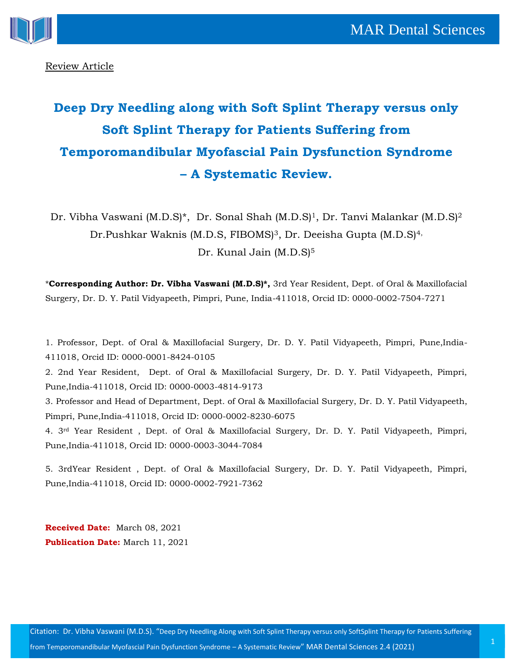



Review Article

# **Deep Dry Needling along with Soft Splint Therapy versus only Soft Splint Therapy for Patients Suffering from Temporomandibular Myofascial Pain Dysfunction Syndrome – A Systematic Review.**

Dr. Vibha Vaswani (M.D.S)<sup>\*</sup>, Dr. Sonal Shah (M.D.S)<sup>1</sup>, Dr. Tanvi Malankar (M.D.S)<sup>2</sup> Dr.Pushkar Waknis (M.D.S, FIBOMS)<sup>3</sup>, Dr. Deeisha Gupta (M.D.S)<sup>4,</sup> Dr. Kunal Jain (M.D.S)<sup>5</sup>

\***Corresponding Author: Dr. Vibha Vaswani (M.D.S)\*,** 3rd Year Resident, Dept. of Oral & Maxillofacial Surgery, Dr. D. Y. Patil Vidyapeeth, Pimpri, Pune, India-411018, Orcid ID: 0000-0002-7504-7271

1. Professor, Dept. of Oral & Maxillofacial Surgery, Dr. D. Y. Patil Vidyapeeth, Pimpri, Pune,India-411018, Orcid ID: 0000-0001-8424-0105

2. 2nd Year Resident, Dept. of Oral & Maxillofacial Surgery, Dr. D. Y. Patil Vidyapeeth, Pimpri, Pune,India-411018, Orcid ID: 0000-0003-4814-9173

3. Professor and Head of Department, Dept. of Oral & Maxillofacial Surgery, Dr. D. Y. Patil Vidyapeeth, Pimpri, Pune,India-411018, Orcid ID: 0000-0002-8230-6075

4. 3rd Year Resident , Dept. of Oral & Maxillofacial Surgery, Dr. D. Y. Patil Vidyapeeth, Pimpri, Pune,India-411018, Orcid ID: 0000-0003-3044-7084

5. 3rdYear Resident , Dept. of Oral & Maxillofacial Surgery, Dr. D. Y. Patil Vidyapeeth, Pimpri, Pune,India-411018, Orcid ID: 0000-0002-7921-7362

**Received Date:** March 08, 2021 **Publication Date:** March 11, 2021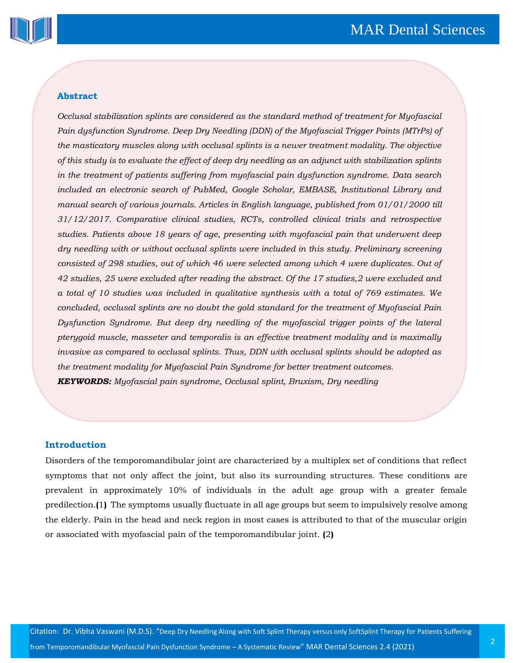

### **Abstract**

*Occlusal stabilization splints are considered as the standard method of treatment for Myofascial Pain dysfunction Syndrome. Deep Dry Needling (DDN) of the Myofascial Trigger Points (MTrPs) of the masticatory muscles along with occlusal splints is a newer treatment modality. The objective of this study is to evaluate the effect of deep dry needling as an adjunct with stabilization splints in the treatment of patients suffering from myofascial pain dysfunction syndrome. Data search included an electronic search of PubMed, Google Scholar, EMBASE, Institutional Library and manual search of various journals. Articles in English language, published from 01/01/2000 till 31/12/2017. Comparative clinical studies, RCTs, controlled clinical trials and retrospective studies. Patients above 18 years of age, presenting with myofascial pain that underwent deep dry needling with or without occlusal splints were included in this study. Preliminary screening consisted of 298 studies, out of which 46 were selected among which 4 were duplicates. Out of 42 studies, 25 were excluded after reading the abstract. Of the 17 studies,2 were excluded and a total of 10 studies was included in qualitative synthesis with a total of 769 estimates. We concluded, occlusal splints are no doubt the gold standard for the treatment of Myofascial Pain Dysfunction Syndrome. But deep dry needling of the myofascial trigger points of the lateral pterygoid muscle, masseter and temporalis is an effective treatment modality and is maximally invasive as compared to occlusal splints. Thus, DDN with occlusal splints should be adopted as the treatment modality for Myofascial Pain Syndrome for better treatment outcomes. KEYWORDS: Myofascial pain syndrome, Occlusal splint, Bruxism, Dry needling*

### **Introduction**

Disorders of the temporomandibular joint are characterized by a multiplex set of conditions that reflect symptoms that not only affect the joint, but also its surrounding structures. These conditions are prevalent in approximately 10% of individuals in the adult age group with a greater female predilection.**(**1**)** The symptoms usually fluctuate in all age groups but seem to impulsively resolve among the elderly. Pain in the head and neck region in most cases is attributed to that of the muscular origin or associated with myofascial pain of the temporomandibular joint. **(**2**)**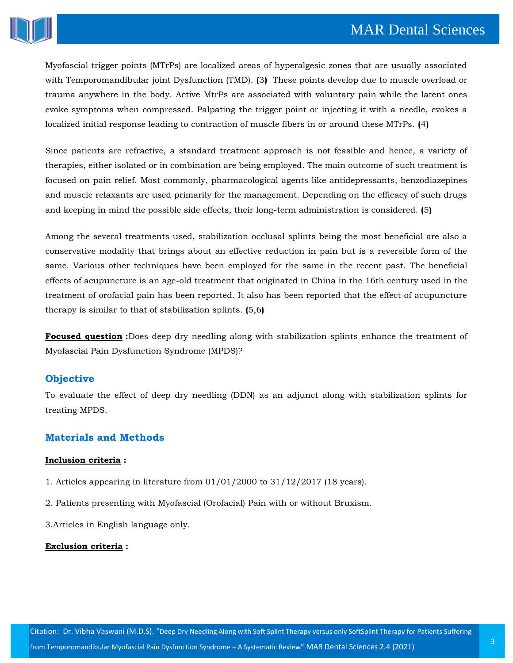

Myofascial trigger points (MTrPs) are localized areas of hyperalgesic zones that are usually associated with Temporomandibular joint Dysfunction (TMD). **(**3**)** These points develop due to muscle overload or trauma anywhere in the body. Active MtrPs are associated with voluntary pain while the latent ones evoke symptoms when compressed. Palpating the trigger point or injecting it with a needle, evokes a localized initial response leading to contraction of muscle fibers in or around these MTrPs. **(**4**)**

Since patients are refractive, a standard treatment approach is not feasible and hence, a variety of therapies, either isolated or in combination are being employed. The main outcome of such treatment is focused on pain relief. Most commonly, pharmacological agents like antidepressants, benzodiazepines and muscle relaxants are used primarily for the management. Depending on the efficacy of such drugs and keeping in mind the possible side effects, their long-term administration is considered. **(**5**)**

Among the several treatments used, stabilization occlusal splints being the most beneficial are also a conservative modality that brings about an effective reduction in pain but is a reversible form of the same. Various other techniques have been employed for the same in the recent past. The beneficial effects of acupuncture is an age-old treatment that originated in China in the 16th century used in the treatment of orofacial pain has been reported. It also has been reported that the effect of acupuncture therapy is similar to that of stabilization splints. **(**5,6**)**

**Focused question :**Does deep dry needling along with stabilization splints enhance the treatment of Myofascial Pain Dysfunction Syndrome (MPDS)?

## **Objective**

To evaluate the effect of deep dry needling (DDN) as an adjunct along with stabilization splints for treating MPDS.

## **Materials and Methods**

### **Inclusion criteria :**

- 1. Articles appearing in literature from 01/01/2000 to 31/12/2017 (18 years).
- 2. Patients presenting with Myofascial (Orofacial) Pain with or without Bruxism.
- 3.Articles in English language only.

### **Exclusion criteria :**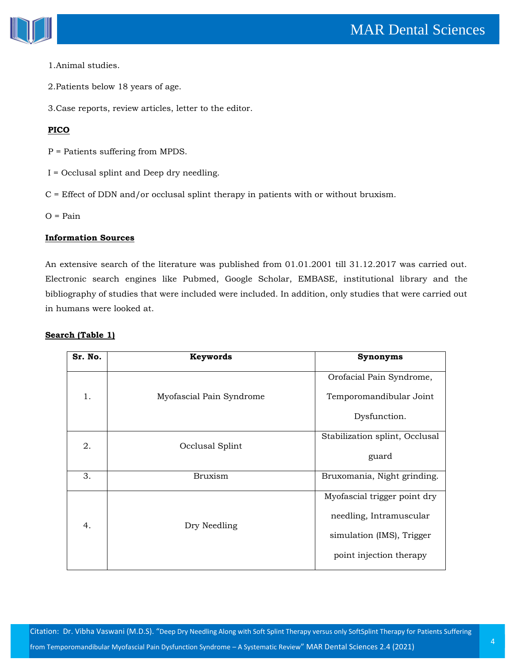



### 1.Animal studies.

2.Patients below 18 years of age.

3.Case reports, review articles, letter to the editor.

## **PICO**

P = Patients suffering from MPDS.

- I = Occlusal splint and Deep dry needling.
- C = Effect of DDN and/or occlusal splint therapy in patients with or without bruxism.

 $O = \text{Pair}$ 

### **Information Sources**

An extensive search of the literature was published from 01.01.2001 till 31.12.2017 was carried out. Electronic search engines like Pubmed, Google Scholar, EMBASE, institutional library and the bibliography of studies that were included were included. In addition, only studies that were carried out in humans were looked at.

### **Search (Table 1)**

| Sr. No. | Keywords                 | Synonyms                       |
|---------|--------------------------|--------------------------------|
|         |                          | Orofacial Pain Syndrome,       |
| 1.      | Myofascial Pain Syndrome | Temporomandibular Joint        |
|         |                          | Dysfunction.                   |
| 2.      | Occlusal Splint          | Stabilization splint, Occlusal |
|         |                          | guard                          |
| 3.      | <b>Bruxism</b>           | Bruxomania, Night grinding.    |
|         |                          | Myofascial trigger point dry   |
| 4.      | Dry Needling             | needling, Intramuscular        |
|         |                          | simulation (IMS), Trigger      |
|         |                          | point injection therapy        |
|         |                          |                                |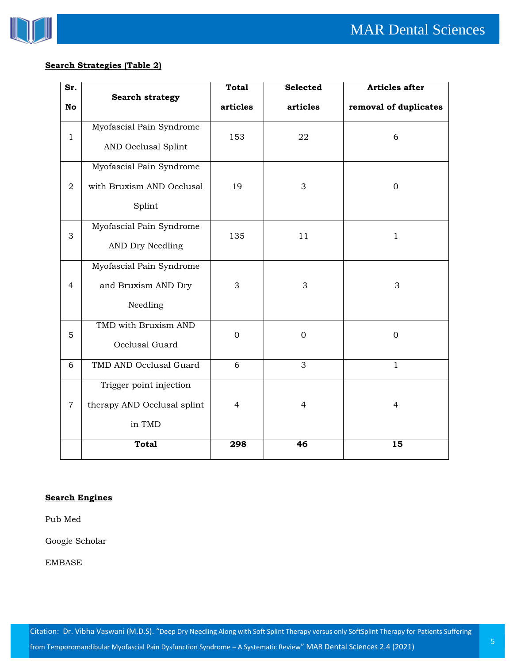

## **Search Strategies (Table 2)**

| Sr.            |                                                     | <b>Total</b>   | Selected         | Articles after        |  |
|----------------|-----------------------------------------------------|----------------|------------------|-----------------------|--|
| No             | <b>Search strategy</b>                              | articles       | articles         | removal of duplicates |  |
| $\mathbf{1}$   | Myofascial Pain Syndrome                            | 153            | 22               | 6                     |  |
|                | AND Occlusal Splint                                 |                |                  |                       |  |
|                | Myofascial Pain Syndrome                            |                |                  |                       |  |
| $\overline{a}$ | with Bruxism AND Occlusal                           | 19             | 3                | $\mathbf 0$           |  |
|                | Splint                                              |                |                  |                       |  |
| 3              | Myofascial Pain Syndrome<br><b>AND Dry Needling</b> | 135            | 11               | $\mathbf{1}$          |  |
|                | Myofascial Pain Syndrome                            |                |                  |                       |  |
| $\overline{4}$ | and Bruxism AND Dry                                 | 3              | 3                | 3                     |  |
|                | Needling                                            |                |                  |                       |  |
| 5              | TMD with Bruxism AND                                | $\overline{0}$ | $\boldsymbol{0}$ | $\boldsymbol{0}$      |  |
|                | Occlusal Guard                                      |                |                  |                       |  |
| 6              | TMD AND Occlusal Guard                              | 6              | 3                | $\mathbf{1}$          |  |
|                | Trigger point injection                             |                |                  |                       |  |
| $\overline{7}$ | therapy AND Occlusal splint                         | $\overline{4}$ | $\overline{4}$   | $\overline{4}$        |  |
|                | in TMD                                              |                |                  |                       |  |
|                | <b>Total</b>                                        | 298            | 46               | 15                    |  |

### **Search Engines**

Pub Med

Google Scholar

EMBASE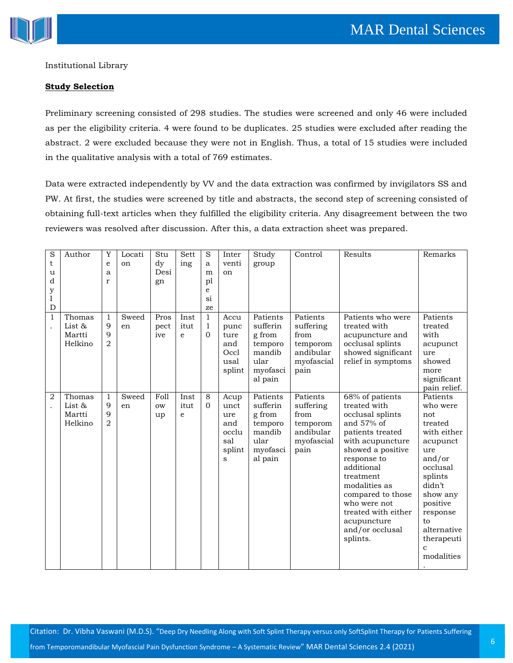



### Institutional Library

### **Study Selection**

Preliminary screening consisted of 298 studies. The studies were screened and only 46 were included as per the eligibility criteria. 4 were found to be duplicates. 25 studies were excluded after reading the abstract. 2 were excluded because they were not in English. Thus, a total of 15 studies were included in the qualitative analysis with a total of 769 estimates.

Data were extracted independently by VV and the data extraction was confirmed by invigilators SS and PW. At first, the studies were screened by title and abstracts, the second step of screening consisted of obtaining full-text articles when they fulfilled the eligibility criteria. Any disagreement between the two reviewers was resolved after discussion. After this, a data extraction sheet was prepared.

| S<br>t<br>u<br>d<br>y | Author                                   | Y<br>e<br>a<br>$\mathbf r$    | Locati<br>on | Stu<br>$\rm{d}v$<br>Desi<br>gn | Sett<br>ing       | S<br>a<br>m<br>pl<br>e                | Inter<br>venti<br>on                                      | Study<br>group                                                                     | Control                                                                      | Results                                                                                                                                                                                                                                                                                             | Remarks                                                                                                                                                                                                                  |
|-----------------------|------------------------------------------|-------------------------------|--------------|--------------------------------|-------------------|---------------------------------------|-----------------------------------------------------------|------------------------------------------------------------------------------------|------------------------------------------------------------------------------|-----------------------------------------------------------------------------------------------------------------------------------------------------------------------------------------------------------------------------------------------------------------------------------------------------|--------------------------------------------------------------------------------------------------------------------------------------------------------------------------------------------------------------------------|
| I<br>D                |                                          |                               |              |                                |                   | si<br>ze                              |                                                           |                                                                                    |                                                                              |                                                                                                                                                                                                                                                                                                     |                                                                                                                                                                                                                          |
| 1                     | Thomas<br>List $\&$<br>Martti<br>Helkino | 1<br>9<br>9<br>$\overline{2}$ | Sweed<br>en  | Pros<br>pect<br>ive            | Inst<br>itut<br>e | $1\,$<br>$\mathbf{1}$<br>$\mathbf{0}$ | Accu<br>punc<br>ture<br>and<br>Occl<br>usal<br>splint     | Patients<br>sufferin<br>g from<br>temporo<br>mandib<br>ular<br>myofasci<br>al pain | Patients<br>suffering<br>from<br>temporom<br>andibular<br>myofascial<br>pain | Patients who were<br>treated with<br>acupuncture and<br>occlusal splints<br>showed significant<br>relief in symptoms                                                                                                                                                                                | Patients<br>treated<br>with<br>acupunct<br>ure<br>showed<br>more<br>significant<br>pain relief.                                                                                                                          |
| 2                     | Thomas<br>List $\&$<br>Martti<br>Helkino | 1<br>9<br>9<br>2              | Sweed<br>en. | Foll<br>ow<br>up               | Inst<br>itut<br>e | 8<br>$\Omega$                         | Acup<br>unct<br>ure<br>and<br>occlu<br>sal<br>splint<br>S | Patients<br>sufferin<br>g from<br>temporo<br>mandib<br>ular<br>myofasci<br>al pain | Patients<br>suffering<br>from<br>temporom<br>andibular<br>myofascial<br>pain | 68% of patients<br>treated with<br>occlusal splints<br>and 57% of<br>patients treated<br>with acupuncture<br>showed a positive<br>response to<br>additional<br>treatment<br>modalities as<br>compared to those<br>who were not<br>treated with either<br>acupuncture<br>and/or occlusal<br>splints. | Patients<br>who were<br>not<br>treated<br>with either<br>acupunct<br>ure<br>and/or<br>occlusal<br>splints<br>didn't<br>show any<br>positive<br>response<br>to<br>alternative<br>therapeuti<br>$\mathbf{C}$<br>modalities |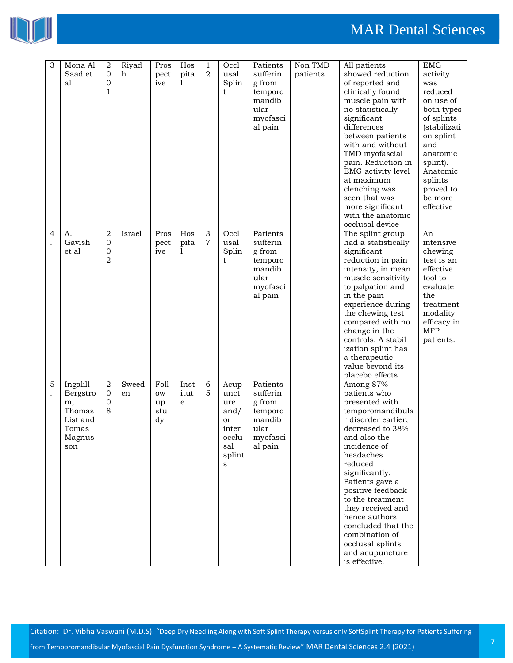

| 3 | Mona Al<br>Saad et<br>al                                                   | $\sqrt{2}$<br>$\mathbf 0$<br>0<br>1        | Riyad<br>h  | Pros<br>pect<br>ive                 | Hos<br>pita<br>1  | 1<br>2                                      | Occl<br>usal<br>Splin<br>t                                                          | Patients<br>sufferin<br>g from<br>temporo<br>mandib<br>ular<br>myofasci<br>al pain | Non TMD<br>patients | All patients<br>showed reduction<br>of reported and<br>clinically found<br>muscle pain with<br>no statistically<br>significant<br>differences<br>between patients<br>with and without<br>TMD myofascial<br>pain. Reduction in<br>EMG activity level<br>at maximum<br>clenching was<br>seen that was<br>more significant<br>with the anatomic<br>occlusal device                        | EMG<br>activity<br>was<br>reduced<br>on use of<br>both types<br>of splints<br>(stabilizati<br>on splint<br>and<br>anatomic<br>splint).<br>Anatomic<br>splints<br>proved to<br>be more<br>effective |
|---|----------------------------------------------------------------------------|--------------------------------------------|-------------|-------------------------------------|-------------------|---------------------------------------------|-------------------------------------------------------------------------------------|------------------------------------------------------------------------------------|---------------------|----------------------------------------------------------------------------------------------------------------------------------------------------------------------------------------------------------------------------------------------------------------------------------------------------------------------------------------------------------------------------------------|----------------------------------------------------------------------------------------------------------------------------------------------------------------------------------------------------|
| 4 | A.<br>Gavish<br>et al                                                      | $\overline{2}$<br>0<br>0<br>$\overline{2}$ | Israel      | Pros<br>pect<br>ive                 | Hos<br>pita<br>1  | $\ensuremath{\mathsf{3}}$<br>$\overline{7}$ | Occl<br>usal<br>Splin<br>t                                                          | Patients<br>sufferin<br>g from<br>temporo<br>mandib<br>ular<br>myofasci<br>al pain |                     | The splint group<br>had a statistically<br>significant<br>reduction in pain<br>intensity, in mean<br>muscle sensitivity<br>to palpation and<br>in the pain<br>experience during<br>the chewing test<br>compared with no<br>change in the<br>controls. A stabil<br>ization splint has<br>a therapeutic<br>value beyond its<br>placebo effects                                           | An<br>intensive<br>chewing<br>test is an<br>effective<br>tool to<br>evaluate<br>the<br>treatment<br>modality<br>efficacy in<br><b>MFP</b><br>patients.                                             |
| 5 | Ingalill<br>Bergstro<br>m,<br>Thomas<br>List and<br>Tomas<br>Magnus<br>son | 2<br>$\mathbf 0$<br>0<br>8                 | Sweed<br>en | Foll<br>ow<br>up<br>stu<br>$\rm dy$ | Inst<br>itut<br>e | 6<br>5                                      | Acup<br>unct<br>ure<br>and/<br>or<br>inter<br>occlu<br>sal<br>splint<br>$\mathbf s$ | Patients<br>sufferin<br>g from<br>temporo<br>mandib<br>ular<br>myofasci<br>al pain |                     | Among 87%<br>patients who<br>presented with<br>temporomandibula<br>r disorder earlier,<br>decreased to 38%<br>and also the<br>incidence of<br>headaches<br>reduced<br>significantly.<br>Patients gave a<br>positive feedback<br>to the treatment<br>they received and<br>hence authors<br>concluded that the<br>combination of<br>occlusal splints<br>and acupuncture<br>is effective. |                                                                                                                                                                                                    |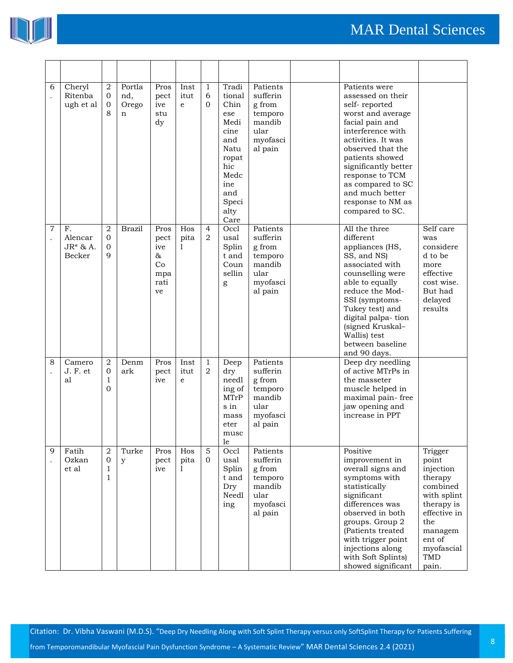

## MAR Dental Sciences

| 6              | Cheryl<br>Ritenba<br>ugh et al          | $\sqrt{2}$<br>$\overline{0}$<br>$\mathbf 0$<br>8 | Portla<br>nd,<br>Orego<br>n | Pros<br>pect<br>ive<br>stu<br>dy                    | Inst<br>itut<br>e | $\mathbf{1}$<br>6<br>$\Omega$    | Tradi<br>tional<br>Chin<br>ese<br>Medi<br>cine<br>and<br>Natu<br>ropat<br>hic<br>Medc<br>ine<br>and<br>Speci<br>alty<br>Care | Patients<br>sufferin<br>g from<br>temporo<br>mandib<br>ular<br>myofasci<br>al pain | Patients were<br>assessed on their<br>self-reported<br>worst and average<br>facial pain and<br>interference with<br>activities. It was<br>observed that the<br>patients showed<br>significantly better<br>response to TCM<br>as compared to SC<br>and much better<br>response to NM as<br>compared to SC. |                                                                                                                                                             |
|----------------|-----------------------------------------|--------------------------------------------------|-----------------------------|-----------------------------------------------------|-------------------|----------------------------------|------------------------------------------------------------------------------------------------------------------------------|------------------------------------------------------------------------------------|-----------------------------------------------------------------------------------------------------------------------------------------------------------------------------------------------------------------------------------------------------------------------------------------------------------|-------------------------------------------------------------------------------------------------------------------------------------------------------------|
| $\overline{7}$ | F.<br>Alencar<br>$JR^* \& A.$<br>Becker | $\overline{2}$<br>$\mathbf{0}$<br>0<br>9         | <b>Brazil</b>               | Pros<br>pect<br>ive<br>&<br>Co<br>mpa<br>rati<br>ve | Hos<br>pita<br>1  | $\overline{4}$<br>2              | Occl<br>usal<br>Splin<br>t and<br>Coun<br>sellin<br>g                                                                        | Patients<br>sufferin<br>g from<br>temporo<br>mandib<br>ular<br>myofasci<br>al pain | All the three<br>different<br>appliances (HS,<br>SS, and NS)<br>associated with<br>counselling were<br>able to equally<br>reduce the Mod-<br>SSI (symptoms-<br>Tukey test) and<br>digital palpa-tion<br>(signed Kruskal-<br>Wallis) test<br>between baseline<br>and 90 days.                              | Self care<br>was<br>considere<br>d to be<br>more<br>effective<br>cost wise.<br>But had<br>delayed<br>results                                                |
| 8              | Camero<br>J.F. et<br>al                 | 2<br>$\overline{0}$<br>1<br>$\Omega$             | Denm<br>ark                 | Pros<br>pect<br>ive                                 | Inst<br>itut<br>e | 1<br>$\overline{2}$              | Deep<br>dry<br>needl<br>ing of<br>MTrP<br>s in<br>mass<br>eter<br>musc<br>$1\mathrm{e}$                                      | Patients<br>sufferin<br>g from<br>temporo<br>mandib<br>ular<br>myofasci<br>al pain | Deep dry needling<br>of active MTrPs in<br>the masseter<br>muscle helped in<br>maximal pain-free<br>jaw opening and<br>increase in PPT                                                                                                                                                                    |                                                                                                                                                             |
| 9              | Fatih<br>Ozkan<br>et al                 | $\overline{2}$<br>0<br>1<br>$\mathbf{1}$         | Turke<br>y                  | Pros<br>pect<br>ive                                 | Hos<br>pita<br>1  | $\overline{5}$<br>$\overline{0}$ | Occl<br>usal<br>Splin<br>t and<br>Dry<br>Needl<br>ing                                                                        | Patients<br>sufferin<br>g from<br>temporo<br>mandib<br>ular<br>myofasci<br>al pain | Positive<br>improvement in<br>overall signs and<br>symptoms with<br>statistically<br>significant<br>differences was<br>observed in both<br>groups. Group 2<br>(Patients treated<br>with trigger point<br>injections along<br>with Soft Splints)<br>showed significant                                     | Trigger<br>point<br>injection<br>therapy<br>combined<br>with splint<br>therapy is<br>effective in<br>the<br>managem<br>ent of<br>myofascial<br>TMD<br>pain. |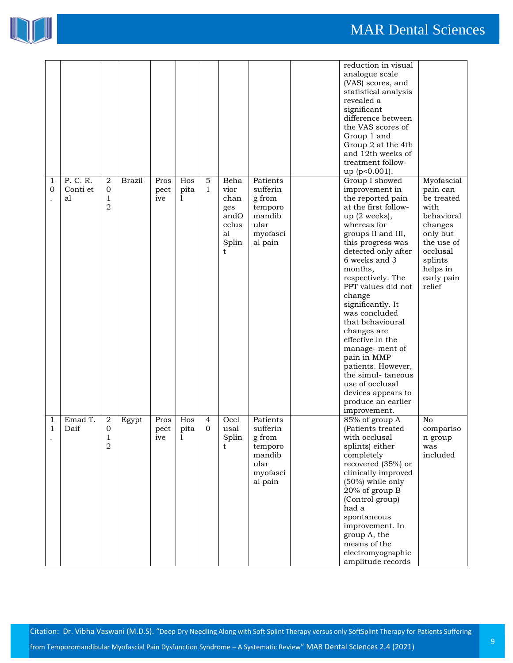

## MAR Dental Sciences

|                  |                            |                  |               |                                |                        |        |                                                                  |                                                                                    | reduction in visual<br>analogue scale<br>(VAS) scores, and<br>statistical analysis<br>revealed a<br>significant<br>difference between<br>the VAS scores of<br>Group 1 and<br>Group 2 at the 4th<br>and 12th weeks of<br>treatment follow-<br>up (p<0.001).                                                                                                                                                                                                                                                                 |                                                                                                                                                            |
|------------------|----------------------------|------------------|---------------|--------------------------------|------------------------|--------|------------------------------------------------------------------|------------------------------------------------------------------------------------|----------------------------------------------------------------------------------------------------------------------------------------------------------------------------------------------------------------------------------------------------------------------------------------------------------------------------------------------------------------------------------------------------------------------------------------------------------------------------------------------------------------------------|------------------------------------------------------------------------------------------------------------------------------------------------------------|
| 1<br>$\mathbf 0$ | P. C. R.<br>Conti et<br>al | 2<br>0<br>1<br>2 | <b>Brazil</b> | Pros<br>pect<br>ive            | Hos<br>pita<br>1       | 5<br>1 | Beha<br>vior<br>chan<br>ges<br>andO<br>cclus<br>al<br>Splin<br>t | Patients<br>sufferin<br>g from<br>temporo<br>mandib<br>ular<br>myofasci<br>al pain | Group I showed<br>improvement in<br>the reported pain<br>at the first follow-<br>$up(2 weeks)$ ,<br>whereas for<br>groups II and III,<br>this progress was<br>detected only after<br>6 weeks and 3<br>months,<br>respectively. The<br>PPT values did not<br>change<br>significantly. It<br>was concluded<br>that behavioural<br>changes are<br>effective in the<br>manage-ment of<br>pain in MMP<br>patients. However,<br>the simul-taneous<br>use of occlusal<br>devices appears to<br>produce an earlier<br>improvement. | Myofascial<br>pain can<br>be treated<br>with<br>behavioral<br>changes<br>only but<br>the use of<br>occlusal<br>splints<br>helps in<br>early pain<br>relief |
| 1<br>1           | Emad T.<br>Daif            | 2<br>0<br>1<br>2 | Egypt         | Pros<br>pect<br><sub>1ve</sub> | Hos<br>pita<br>$\perp$ | 4<br>0 | Occl<br>usal<br>Splin<br>t                                       | Patients<br>sufferin<br>g from<br>temporo<br>mandib<br>ular<br>myofasci<br>al pain | 85% of group A<br>(Patients treated)<br>with occlusal<br>splints) either<br>completely<br>recovered (35%) or<br>clinically improved<br>(50%) while only<br>20% of group B<br>(Control group)<br>had a<br>spontaneous<br>improvement. In<br>group A, the<br>means of the<br>electromyographic<br>amplitude records                                                                                                                                                                                                          | No<br>compariso<br>n group<br>was<br>included                                                                                                              |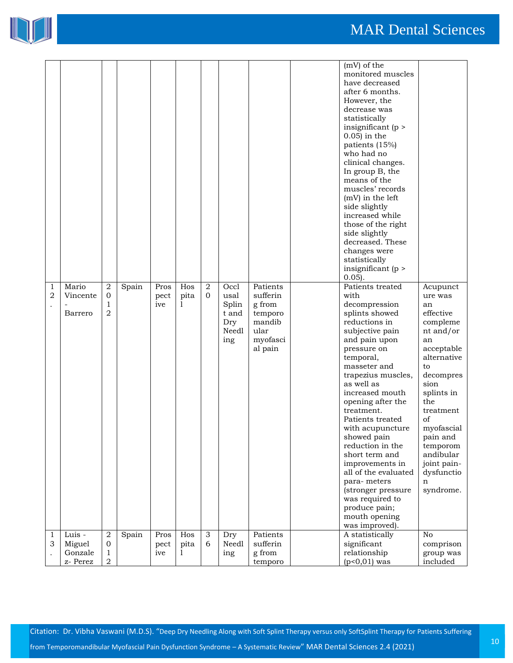

|        |                                         |                                                   |       |                     |                  |            |                                                       |                                                                                    | (mV) of the<br>monitored muscles<br>have decreased<br>after 6 months.<br>However, the<br>decrease was<br>statistically<br>insignificant $(p >$<br>$0.05$ ) in the<br>patients (15%)<br>who had no<br>clinical changes.<br>In group B, the<br>means of the<br>muscles' records<br>$(mV)$ in the left<br>side slightly<br>increased while<br>those of the right<br>side slightly<br>decreased. These<br>changes were<br>statistically<br>insignificant $(p >$<br>$0.05$ ).                                   |                                                                                                                                                                                                                                                                         |
|--------|-----------------------------------------|---------------------------------------------------|-------|---------------------|------------------|------------|-------------------------------------------------------|------------------------------------------------------------------------------------|------------------------------------------------------------------------------------------------------------------------------------------------------------------------------------------------------------------------------------------------------------------------------------------------------------------------------------------------------------------------------------------------------------------------------------------------------------------------------------------------------------|-------------------------------------------------------------------------------------------------------------------------------------------------------------------------------------------------------------------------------------------------------------------------|
| 1<br>2 | Mario<br>Vincente<br>Barrero            | $\sqrt{2}$<br>$\mathbf{0}$<br>1<br>$\overline{2}$ | Spain | Pros<br>pect<br>ive | Hos<br>pita<br>1 | $\,2$<br>0 | Occl<br>usal<br>Splin<br>t and<br>Dry<br>Needl<br>ing | Patients<br>sufferin<br>g from<br>temporo<br>mandib<br>ular<br>myofasci<br>al pain | Patients treated<br>with<br>decompression<br>splints showed<br>reductions in<br>subjective pain<br>and pain upon<br>pressure on<br>temporal,<br>masseter and<br>trapezius muscles,<br>as well as<br>increased mouth<br>opening after the<br>treatment.<br>Patients treated<br>with acupuncture<br>showed pain<br>reduction in the<br>short term and<br>improvements in<br>all of the evaluated<br>para-meters<br>(stronger pressure<br>was required to<br>produce pain;<br>mouth opening<br>was improved). | Acupunct<br>ure was<br>an<br>effective<br>compleme<br>nt and/or<br>an<br>acceptable<br>alternative<br>to<br>decompres<br>sion<br>splints in<br>the<br>treatment<br>οf<br>myofascial<br>pain and<br>temporom<br>andibular<br>joint pain-<br>dysfunctio<br>n<br>syndrome. |
| 1<br>3 | Luis -<br>Miguel<br>Gonzale<br>z- Perez | 2<br>$\mathbf{0}$<br>$\mathbf{1}$<br>$\,2$        | Spain | Pros<br>pect<br>ive | Hos<br>pita<br>1 | 3<br>6     | Dry<br>Needl<br>ing                                   | Patients<br>sufferin<br>g from                                                     | A statistically<br>significant<br>relationship<br>$(p<0.01)$ was                                                                                                                                                                                                                                                                                                                                                                                                                                           | No<br>comprison<br>group was<br>included                                                                                                                                                                                                                                |
|        |                                         |                                                   |       |                     |                  |            |                                                       | temporo                                                                            |                                                                                                                                                                                                                                                                                                                                                                                                                                                                                                            |                                                                                                                                                                                                                                                                         |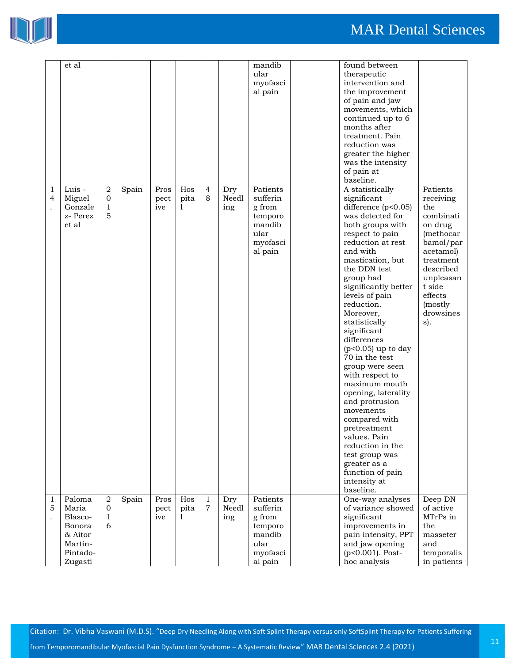

## MAR Dental Sciences

|        | et al                                            |                            |       |                     |                  |                                |                     | mandib<br>ular<br>myofasci<br>al pain                                              | found between<br>therapeutic<br>intervention and<br>the improvement<br>of pain and jaw<br>movements, which<br>continued up to 6<br>months after<br>treatment. Pain<br>reduction was<br>greater the higher<br>was the intensity<br>of pain at<br>baseline.                                                                                                                                                                                                                                                                                                                                                                               |                                                                                                                                                                                         |
|--------|--------------------------------------------------|----------------------------|-------|---------------------|------------------|--------------------------------|---------------------|------------------------------------------------------------------------------------|-----------------------------------------------------------------------------------------------------------------------------------------------------------------------------------------------------------------------------------------------------------------------------------------------------------------------------------------------------------------------------------------------------------------------------------------------------------------------------------------------------------------------------------------------------------------------------------------------------------------------------------------|-----------------------------------------------------------------------------------------------------------------------------------------------------------------------------------------|
| 1<br>4 | Luis -<br>Miguel<br>Gonzale<br>z- Perez<br>et al | 2<br>$\mathbf 0$<br>1<br>5 | Spain | Pros<br>pect<br>ive | Hos<br>pita<br>1 | $\overline{4}$<br>8            | Dry<br>Needl<br>ing | Patients<br>sufferin<br>g from<br>temporo<br>mandib<br>ular<br>myofasci<br>al pain | A statistically<br>significant<br>difference $(p<0.05)$<br>was detected for<br>both groups with<br>respect to pain<br>reduction at rest<br>and with<br>mastication, but<br>the DDN test<br>group had<br>significantly better<br>levels of pain<br>reduction.<br>Moreover,<br>statistically<br>significant<br>differences<br>$(p<0.05)$ up to day<br>70 in the test<br>group were seen<br>with respect to<br>maximum mouth<br>opening, laterality<br>and protrusion<br>movements<br>compared with<br>pretreatment<br>values. Pain<br>reduction in the<br>test group was<br>greater as a<br>function of pain<br>intensity at<br>baseline. | Patients<br>receiving<br>the<br>combinati<br>on drug<br>(methocar<br>bamol/par<br>acetamol)<br>treatment<br>described<br>unpleasan<br>t side<br>effects<br>(mostly)<br>drowsines<br>s). |
| 1<br>5 | Paloma<br>Maria                                  | $\sqrt{2}$<br>$\mathbf 0$  | Spain | Pros<br>pect        | Hos<br>pita      | $\mathbf{1}$<br>$\overline{7}$ | Dry<br>Needl        | Patients<br>sufferin                                                               | One-way analyses<br>of variance showed                                                                                                                                                                                                                                                                                                                                                                                                                                                                                                                                                                                                  | Deep DN<br>of active                                                                                                                                                                    |
|        | Blasco-                                          | $\mathbf{1}$               |       | ive                 | 1                |                                | ing                 | g from                                                                             | significant                                                                                                                                                                                                                                                                                                                                                                                                                                                                                                                                                                                                                             | MTrPs in                                                                                                                                                                                |
|        | Bonora                                           | 6                          |       |                     |                  |                                |                     | temporo                                                                            | improvements in                                                                                                                                                                                                                                                                                                                                                                                                                                                                                                                                                                                                                         | the                                                                                                                                                                                     |
|        | & Aitor                                          |                            |       |                     |                  |                                |                     | mandib                                                                             | pain intensity, PPT                                                                                                                                                                                                                                                                                                                                                                                                                                                                                                                                                                                                                     | masseter                                                                                                                                                                                |
|        | Martin-                                          |                            |       |                     |                  |                                |                     | ular                                                                               | and jaw opening                                                                                                                                                                                                                                                                                                                                                                                                                                                                                                                                                                                                                         | and                                                                                                                                                                                     |
|        | Pintado-                                         |                            |       |                     |                  |                                |                     | myofasci                                                                           | (p<0.001). Post-                                                                                                                                                                                                                                                                                                                                                                                                                                                                                                                                                                                                                        | temporalis                                                                                                                                                                              |
|        | Zugasti                                          |                            |       |                     |                  |                                |                     | al pain                                                                            | hoc analysis                                                                                                                                                                                                                                                                                                                                                                                                                                                                                                                                                                                                                            | in patients                                                                                                                                                                             |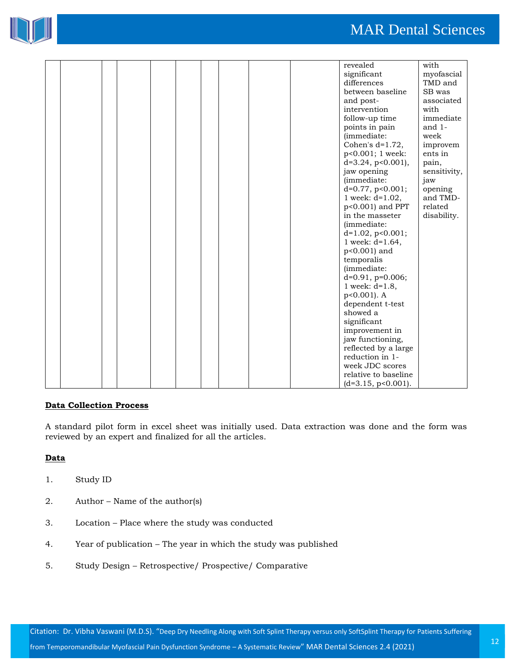

|  | revealed               | with         |
|--|------------------------|--------------|
|  | significant            | myofascial   |
|  | differences            | TMD and      |
|  | between baseline       | SB was       |
|  | and post-              | associated   |
|  | intervention           | with         |
|  | follow-up time         | immediate    |
|  | points in pain         | and $1-$     |
|  | (immediate:            | week         |
|  | Cohen's $d=1.72$ ,     | improvem     |
|  | p<0.001; 1 week:       | ents in      |
|  | $d=3.24$ , p<0.001),   | pain,        |
|  | jaw opening            | sensitivity, |
|  | (immediate:            | jaw          |
|  | $d=0.77$ , p<0.001;    | opening      |
|  | 1 week: $d=1.02$ ,     | and TMD-     |
|  | p<0.001) and PPT       | related      |
|  | in the masseter        | disability.  |
|  | (immediate:            |              |
|  | $d=1.02$ , $p<0.001$ ; |              |
|  | 1 week: $d=1.64$ ,     |              |
|  | p<0.001) and           |              |
|  | temporalis             |              |
|  | (immediate:            |              |
|  | $d=0.91$ , p=0.006;    |              |
|  | 1 week: $d=1.8$ ,      |              |
|  | $p<0.001$ ). A         |              |
|  | dependent t-test       |              |
|  | showed a               |              |
|  | significant            |              |
|  | improvement in         |              |
|  | jaw functioning,       |              |
|  | reflected by a large   |              |
|  | reduction in 1-        |              |
|  | week JDC scores        |              |
|  | relative to baseline   |              |
|  | $(d=3.15, p<0.001)$ .  |              |

### **Data Collection Process**

A standard pilot form in excel sheet was initially used. Data extraction was done and the form was reviewed by an expert and finalized for all the articles.

### **Data**

- 1. Study ID
- 2. Author Name of the author(s)
- 3. Location Place where the study was conducted
- 4. Year of publication The year in which the study was published
- 5. Study Design Retrospective/ Prospective/ Comparative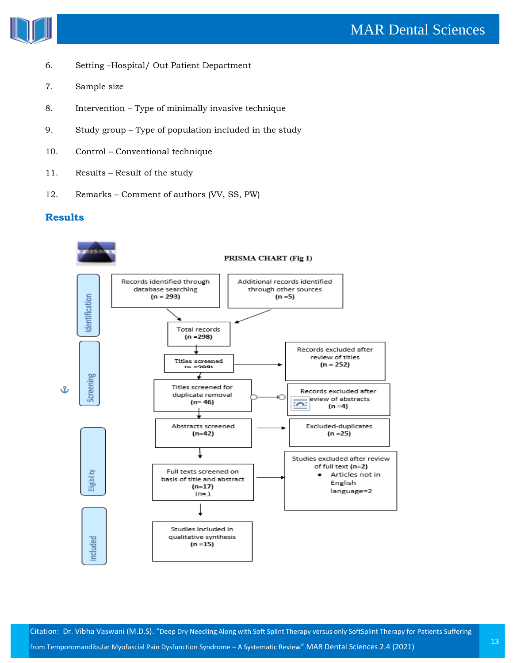

- 6. Setting –Hospital/ Out Patient Department
- 7. Sample size
- 8. Intervention Type of minimally invasive technique
- 9. Study group Type of population included in the study
- 10. Control Conventional technique
- 11. Results Result of the study
- 12. Remarks Comment of authors (VV, SS, PW)

## **Results**



Citation: Dr. Vibha Vaswani (M.D.S). "Deep Dry Needling Along with Soft Splint Therapy versus only SoftSplint Therapy for Patients Suffering from Temporomandibular Myofascial Pain Dysfunction Syndrome – A Systematic Review" MAR Dental Sciences 2.4 (2021)<br>13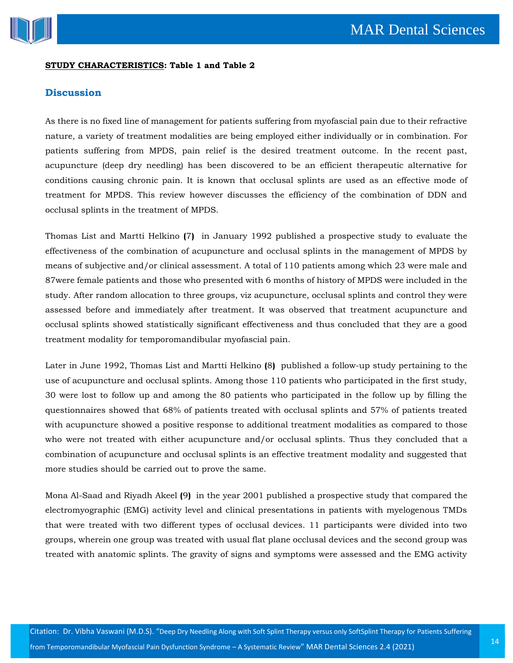

#### **STUDY CHARACTERISTICS: Table 1 and Table 2**

### **Discussion**

As there is no fixed line of management for patients suffering from myofascial pain due to their refractive nature, a variety of treatment modalities are being employed either individually or in combination. For patients suffering from MPDS, pain relief is the desired treatment outcome. In the recent past, acupuncture (deep dry needling) has been discovered to be an efficient therapeutic alternative for conditions causing chronic pain. It is known that occlusal splints are used as an effective mode of treatment for MPDS. This review however discusses the efficiency of the combination of DDN and occlusal splints in the treatment of MPDS.

Thomas List and Martti Helkino **(**7**)** in January 1992 published a prospective study to evaluate the effectiveness of the combination of acupuncture and occlusal splints in the management of MPDS by means of subjective and/or clinical assessment. A total of 110 patients among which 23 were male and 87were female patients and those who presented with 6 months of history of MPDS were included in the study. After random allocation to three groups, viz acupuncture, occlusal splints and control they were assessed before and immediately after treatment. It was observed that treatment acupuncture and occlusal splints showed statistically significant effectiveness and thus concluded that they are a good treatment modality for temporomandibular myofascial pain.

Later in June 1992, Thomas List and Martti Helkino **(**8**)** published a follow-up study pertaining to the use of acupuncture and occlusal splints. Among those 110 patients who participated in the first study, 30 were lost to follow up and among the 80 patients who participated in the follow up by filling the questionnaires showed that 68% of patients treated with occlusal splints and 57% of patients treated with acupuncture showed a positive response to additional treatment modalities as compared to those who were not treated with either acupuncture and/or occlusal splints. Thus they concluded that a combination of acupuncture and occlusal splints is an effective treatment modality and suggested that more studies should be carried out to prove the same.

Mona Al-Saad and Riyadh Akeel **(**9**)** in the year 2001 published a prospective study that compared the electromyographic (EMG) activity level and clinical presentations in patients with myelogenous TMDs that were treated with two different types of occlusal devices. 11 participants were divided into two groups, wherein one group was treated with usual flat plane occlusal devices and the second group was treated with anatomic splints. The gravity of signs and symptoms were assessed and the EMG activity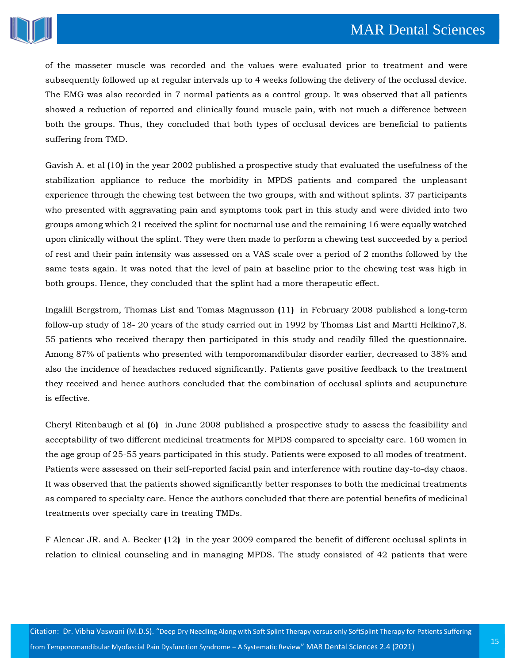

of the masseter muscle was recorded and the values were evaluated prior to treatment and were subsequently followed up at regular intervals up to 4 weeks following the delivery of the occlusal device. The EMG was also recorded in 7 normal patients as a control group. It was observed that all patients showed a reduction of reported and clinically found muscle pain, with not much a difference between both the groups. Thus, they concluded that both types of occlusal devices are beneficial to patients suffering from TMD.

Gavish A. et al **(**10**)** in the year 2002 published a prospective study that evaluated the usefulness of the stabilization appliance to reduce the morbidity in MPDS patients and compared the unpleasant experience through the chewing test between the two groups, with and without splints. 37 participants who presented with aggravating pain and symptoms took part in this study and were divided into two groups among which 21 received the splint for nocturnal use and the remaining 16 were equally watched upon clinically without the splint. They were then made to perform a chewing test succeeded by a period of rest and their pain intensity was assessed on a VAS scale over a period of 2 months followed by the same tests again. It was noted that the level of pain at baseline prior to the chewing test was high in both groups. Hence, they concluded that the splint had a more therapeutic effect.

Ingalill Bergstrom, Thomas List and Tomas Magnusson **(**11**)** in February 2008 published a long-term follow-up study of 18- 20 years of the study carried out in 1992 by Thomas List and Martti Helkino7,8. 55 patients who received therapy then participated in this study and readily filled the questionnaire. Among 87% of patients who presented with temporomandibular disorder earlier, decreased to 38% and also the incidence of headaches reduced significantly. Patients gave positive feedback to the treatment they received and hence authors concluded that the combination of occlusal splints and acupuncture is effective.

Cheryl Ritenbaugh et al **(**6**)** in June 2008 published a prospective study to assess the feasibility and acceptability of two different medicinal treatments for MPDS compared to specialty care. 160 women in the age group of 25-55 years participated in this study. Patients were exposed to all modes of treatment. Patients were assessed on their self-reported facial pain and interference with routine day-to-day chaos. It was observed that the patients showed significantly better responses to both the medicinal treatments as compared to specialty care. Hence the authors concluded that there are potential benefits of medicinal treatments over specialty care in treating TMDs.

F Alencar JR. and A. Becker **(**12**)** in the year 2009 compared the benefit of different occlusal splints in relation to clinical counseling and in managing MPDS. The study consisted of 42 patients that were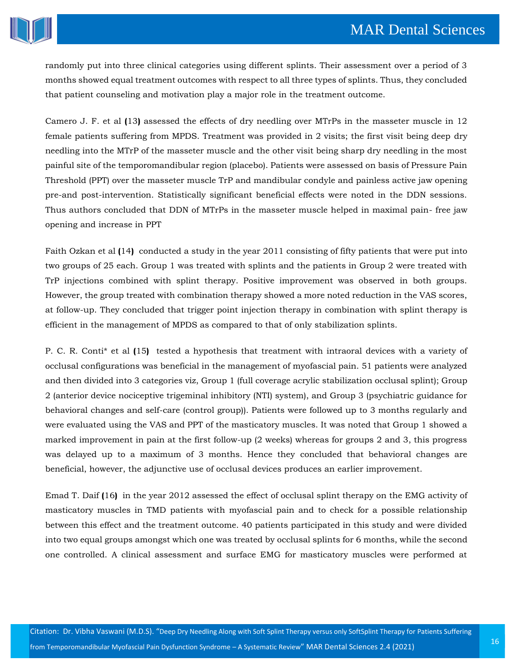

randomly put into three clinical categories using different splints. Their assessment over a period of 3 months showed equal treatment outcomes with respect to all three types of splints. Thus, they concluded that patient counseling and motivation play a major role in the treatment outcome.

Camero J. F. et al **(**13**)** assessed the effects of dry needling over MTrPs in the masseter muscle in 12 female patients suffering from MPDS. Treatment was provided in 2 visits; the first visit being deep dry needling into the MTrP of the masseter muscle and the other visit being sharp dry needling in the most painful site of the temporomandibular region (placebo). Patients were assessed on basis of Pressure Pain Threshold (PPT) over the masseter muscle TrP and mandibular condyle and painless active jaw opening pre-and post-intervention. Statistically significant beneficial effects were noted in the DDN sessions. Thus authors concluded that DDN of MTrPs in the masseter muscle helped in maximal pain- free jaw opening and increase in PPT

Faith Ozkan et al **(**14**)** conducted a study in the year 2011 consisting of fifty patients that were put into two groups of 25 each. Group 1 was treated with splints and the patients in Group 2 were treated with TrP injections combined with splint therapy. Positive improvement was observed in both groups. However, the group treated with combination therapy showed a more noted reduction in the VAS scores, at follow-up. They concluded that trigger point injection therapy in combination with splint therapy is efficient in the management of MPDS as compared to that of only stabilization splints.

P. C. R. Conti\* et al **(**15**)** tested a hypothesis that treatment with intraoral devices with a variety of occlusal configurations was beneficial in the management of myofascial pain. 51 patients were analyzed and then divided into 3 categories viz, Group 1 (full coverage acrylic stabilization occlusal splint); Group 2 (anterior device nociceptive trigeminal inhibitory (NTI) system), and Group 3 (psychiatric guidance for behavioral changes and self-care (control group)). Patients were followed up to 3 months regularly and were evaluated using the VAS and PPT of the masticatory muscles. It was noted that Group 1 showed a marked improvement in pain at the first follow-up (2 weeks) whereas for groups 2 and 3, this progress was delayed up to a maximum of 3 months. Hence they concluded that behavioral changes are beneficial, however, the adjunctive use of occlusal devices produces an earlier improvement.

Emad T. Daif **(**16**)** in the year 2012 assessed the effect of occlusal splint therapy on the EMG activity of masticatory muscles in TMD patients with myofascial pain and to check for a possible relationship between this effect and the treatment outcome. 40 patients participated in this study and were divided into two equal groups amongst which one was treated by occlusal splints for 6 months, while the second one controlled. A clinical assessment and surface EMG for masticatory muscles were performed at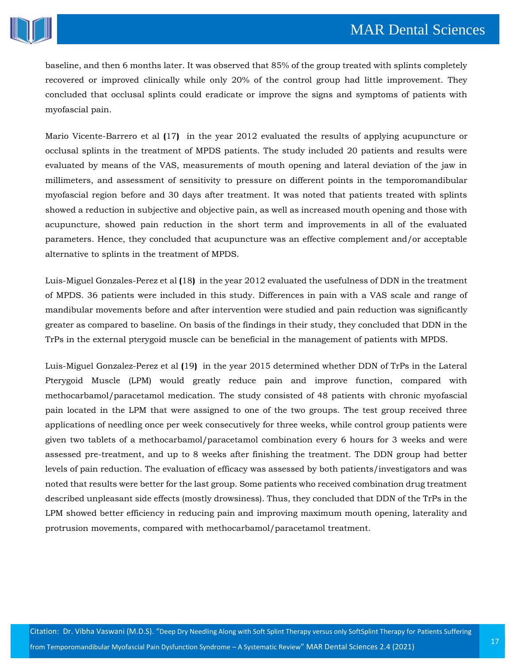

baseline, and then 6 months later. It was observed that 85% of the group treated with splints completely recovered or improved clinically while only 20% of the control group had little improvement. They concluded that occlusal splints could eradicate or improve the signs and symptoms of patients with myofascial pain.

Mario Vicente-Barrero et al **(**17**)** in the year 2012 evaluated the results of applying acupuncture or occlusal splints in the treatment of MPDS patients. The study included 20 patients and results were evaluated by means of the VAS, measurements of mouth opening and lateral deviation of the jaw in millimeters, and assessment of sensitivity to pressure on different points in the temporomandibular myofascial region before and 30 days after treatment. It was noted that patients treated with splints showed a reduction in subjective and objective pain, as well as increased mouth opening and those with acupuncture, showed pain reduction in the short term and improvements in all of the evaluated parameters. Hence, they concluded that acupuncture was an effective complement and/or acceptable alternative to splints in the treatment of MPDS.

Luis-Miguel Gonzales-Perez et al **(**18**)** in the year 2012 evaluated the usefulness of DDN in the treatment of MPDS. 36 patients were included in this study. Differences in pain with a VAS scale and range of mandibular movements before and after intervention were studied and pain reduction was significantly greater as compared to baseline. On basis of the findings in their study, they concluded that DDN in the TrPs in the external pterygoid muscle can be beneficial in the management of patients with MPDS.

Luis-Miguel Gonzalez-Perez et al **(**19**)** in the year 2015 determined whether DDN of TrPs in the Lateral Pterygoid Muscle (LPM) would greatly reduce pain and improve function, compared with methocarbamol/paracetamol medication. The study consisted of 48 patients with chronic myofascial pain located in the LPM that were assigned to one of the two groups. The test group received three applications of needling once per week consecutively for three weeks, while control group patients were given two tablets of a methocarbamol/paracetamol combination every 6 hours for 3 weeks and were assessed pre-treatment, and up to 8 weeks after finishing the treatment. The DDN group had better levels of pain reduction. The evaluation of efficacy was assessed by both patients/investigators and was noted that results were better for the last group. Some patients who received combination drug treatment described unpleasant side effects (mostly drowsiness). Thus, they concluded that DDN of the TrPs in the LPM showed better efficiency in reducing pain and improving maximum mouth opening, laterality and protrusion movements, compared with methocarbamol/paracetamol treatment.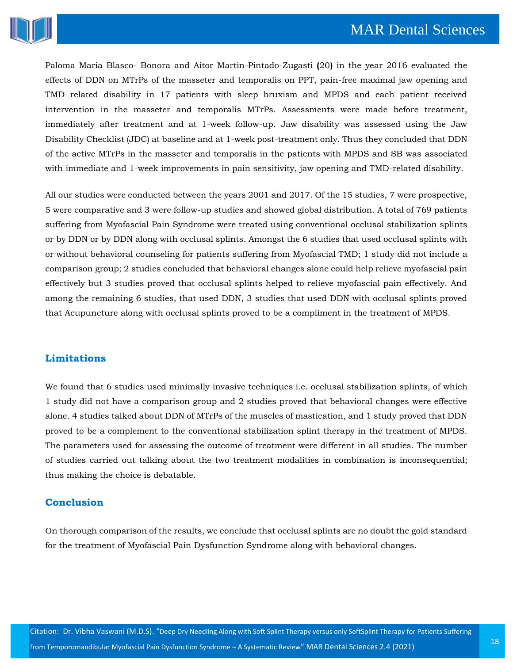

Paloma Maria Blasco- Bonora and Aitor Martin-Pintado-Zugasti **(**20**)** in the year 2016 evaluated the effects of DDN on MTrPs of the masseter and temporalis on PPT, pain-free maximal jaw opening and TMD related disability in 17 patients with sleep bruxism and MPDS and each patient received intervention in the masseter and temporalis MTrPs. Assessments were made before treatment, immediately after treatment and at 1-week follow-up. Jaw disability was assessed using the Jaw Disability Checklist (JDC) at baseline and at 1-week post-treatment only. Thus they concluded that DDN of the active MTrPs in the masseter and temporalis in the patients with MPDS and SB was associated with immediate and 1-week improvements in pain sensitivity, jaw opening and TMD-related disability.

All our studies were conducted between the years 2001 and 2017. Of the 15 studies, 7 were prospective, 5 were comparative and 3 were follow-up studies and showed global distribution. A total of 769 patients suffering from Myofascial Pain Syndrome were treated using conventional occlusal stabilization splints or by DDN or by DDN along with occlusal splints. Amongst the 6 studies that used occlusal splints with or without behavioral counseling for patients suffering from Myofascial TMD; 1 study did not include a comparison group; 2 studies concluded that behavioral changes alone could help relieve myofascial pain effectively but 3 studies proved that occlusal splints helped to relieve myofascial pain effectively. And among the remaining 6 studies, that used DDN, 3 studies that used DDN with occlusal splints proved that Acupuncture along with occlusal splints proved to be a compliment in the treatment of MPDS.

## **Limitations**

We found that 6 studies used minimally invasive techniques i.e. occlusal stabilization splints, of which 1 study did not have a comparison group and 2 studies proved that behavioral changes were effective alone. 4 studies talked about DDN of MTrPs of the muscles of mastication, and 1 study proved that DDN proved to be a complement to the conventional stabilization splint therapy in the treatment of MPDS. The parameters used for assessing the outcome of treatment were different in all studies. The number of studies carried out talking about the two treatment modalities in combination is inconsequential; thus making the choice is debatable.

## **Conclusion**

On thorough comparison of the results, we conclude that occlusal splints are no doubt the gold standard for the treatment of Myofascial Pain Dysfunction Syndrome along with behavioral changes.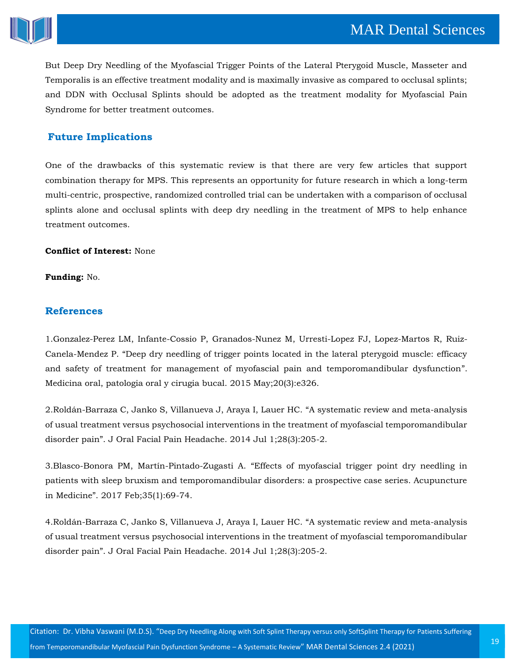

But Deep Dry Needling of the Myofascial Trigger Points of the Lateral Pterygoid Muscle, Masseter and Temporalis is an effective treatment modality and is maximally invasive as compared to occlusal splints; and DDN with Occlusal Splints should be adopted as the treatment modality for Myofascial Pain Syndrome for better treatment outcomes.

## **Future Implications**

One of the drawbacks of this systematic review is that there are very few articles that support combination therapy for MPS. This represents an opportunity for future research in which a long-term multi-centric, prospective, randomized controlled trial can be undertaken with a comparison of occlusal splints alone and occlusal splints with deep dry needling in the treatment of MPS to help enhance treatment outcomes.

### **Conflict of Interest:** None

**Funding:** No.

## **References**

1[.Gonzalez-Perez LM, Infante-Cossio P, Granados-Nunez](https://www.google.com/search?q=Deep+dry+needling+of+trigger+points+located+in+the+lateral+pterygoid+muscle%3A+efficacy+and+safety+of+treatment+for+management+of+myofascial+pain+and+temporomandibular+dysfunction&oq=Deep+dry+needling+of+trigger+points+located+in+the+lateral+pterygoid+muscle%3A+efficacy+and+safety+of+treatment+for+management+of+myofascial+pain+and+temporomandibular+dysfunction&aqs=chrome..69i57.1063j0j7&sourceid=chrome&ie=UTF-8) M, Urresti-Lopez FJ, Lopez-Martos R, Ruiz-Canela-Mendez P. "[Deep dry needling of trigger points located in the lateral pterygoid muscle: efficacy](https://www.google.com/search?q=Deep+dry+needling+of+trigger+points+located+in+the+lateral+pterygoid+muscle%3A+efficacy+and+safety+of+treatment+for+management+of+myofascial+pain+and+temporomandibular+dysfunction&oq=Deep+dry+needling+of+trigger+points+located+in+the+lateral+pterygoid+muscle%3A+efficacy+and+safety+of+treatment+for+management+of+myofascial+pain+and+temporomandibular+dysfunction&aqs=chrome..69i57.1063j0j7&sourceid=chrome&ie=UTF-8)  [and safety of treatment for management of myofascial pain and temporomandibular dysfunction](https://www.google.com/search?q=Deep+dry+needling+of+trigger+points+located+in+the+lateral+pterygoid+muscle%3A+efficacy+and+safety+of+treatment+for+management+of+myofascial+pain+and+temporomandibular+dysfunction&oq=Deep+dry+needling+of+trigger+points+located+in+the+lateral+pterygoid+muscle%3A+efficacy+and+safety+of+treatment+for+management+of+myofascial+pain+and+temporomandibular+dysfunction&aqs=chrome..69i57.1063j0j7&sourceid=chrome&ie=UTF-8)". [Medicina oral, patologia oral y cirugia bucal. 2015 May;20\(3\):e326.](https://www.google.com/search?q=Deep+dry+needling+of+trigger+points+located+in+the+lateral+pterygoid+muscle%3A+efficacy+and+safety+of+treatment+for+management+of+myofascial+pain+and+temporomandibular+dysfunction&oq=Deep+dry+needling+of+trigger+points+located+in+the+lateral+pterygoid+muscle%3A+efficacy+and+safety+of+treatment+for+management+of+myofascial+pain+and+temporomandibular+dysfunction&aqs=chrome..69i57.1063j0j7&sourceid=chrome&ie=UTF-8)

2[.Roldán-Barraza C, Janko S, Villanueva J, Araya I, Lauer HC.](https://www.google.com/search?sxsrf=ALeKk003LEf-8VpN3NPRie4gFtE5k_XgCg%3A1615364530731&ei=soFIYKaALJDgrQGVyojYCg&q=A+systematic+review+and+meta-analysis+of+usual+treatment+versus+psychosocial+interventions+in+the+treatment+of+myofascial+temporomandibular+disorder+pain&oq=A+systematic+review+and+meta-analysis+of+usual+treatment+versus+psychosocial+interventions+in+the+treatment+of+myofascial+temporomandibular+disorder+pain&gs_lcp=Cgdnd3Mtd2l6EAMyBwgjEOoCECcyBwgjEOoCECcyBwgjEOoCECcyBwgjEOoCECcyBwgjEOoCECcyBwgjEOoCECcyBwgjEOoCECcyBwgjEOoCECcyBwgjEOoCECcyBwgjEOoCECdQ65wBWOucAWCtnwFoAXACeACAAQCIAQCSAQCYAQGgAQGgAQKqAQdnd3Mtd2l6sAEKwAEB&sclient=gws-wiz&ved=0ahUKEwimoaXopaXvAhUQcCsKHRUlAqsQ4dUDCA0&uact=5) "A systematic review and meta-analysis [of usual treatment versus psychosocial interventions in the treatment of myofascial temporomandibular](https://www.google.com/search?sxsrf=ALeKk003LEf-8VpN3NPRie4gFtE5k_XgCg%3A1615364530731&ei=soFIYKaALJDgrQGVyojYCg&q=A+systematic+review+and+meta-analysis+of+usual+treatment+versus+psychosocial+interventions+in+the+treatment+of+myofascial+temporomandibular+disorder+pain&oq=A+systematic+review+and+meta-analysis+of+usual+treatment+versus+psychosocial+interventions+in+the+treatment+of+myofascial+temporomandibular+disorder+pain&gs_lcp=Cgdnd3Mtd2l6EAMyBwgjEOoCECcyBwgjEOoCECcyBwgjEOoCECcyBwgjEOoCECcyBwgjEOoCECcyBwgjEOoCECcyBwgjEOoCECcyBwgjEOoCECcyBwgjEOoCECcyBwgjEOoCECdQ65wBWOucAWCtnwFoAXACeACAAQCIAQCSAQCYAQGgAQGgAQKqAQdnd3Mtd2l6sAEKwAEB&sclient=gws-wiz&ved=0ahUKEwimoaXopaXvAhUQcCsKHRUlAqsQ4dUDCA0&uact=5)  disorder pain"[. J Oral Facial Pain Headache. 2014 Jul 1;28\(3\):205-2.](https://www.google.com/search?sxsrf=ALeKk003LEf-8VpN3NPRie4gFtE5k_XgCg%3A1615364530731&ei=soFIYKaALJDgrQGVyojYCg&q=A+systematic+review+and+meta-analysis+of+usual+treatment+versus+psychosocial+interventions+in+the+treatment+of+myofascial+temporomandibular+disorder+pain&oq=A+systematic+review+and+meta-analysis+of+usual+treatment+versus+psychosocial+interventions+in+the+treatment+of+myofascial+temporomandibular+disorder+pain&gs_lcp=Cgdnd3Mtd2l6EAMyBwgjEOoCECcyBwgjEOoCECcyBwgjEOoCECcyBwgjEOoCECcyBwgjEOoCECcyBwgjEOoCECcyBwgjEOoCECcyBwgjEOoCECcyBwgjEOoCECcyBwgjEOoCECdQ65wBWOucAWCtnwFoAXACeACAAQCIAQCSAQCYAQGgAQGgAQKqAQdnd3Mtd2l6sAEKwAEB&sclient=gws-wiz&ved=0ahUKEwimoaXopaXvAhUQcCsKHRUlAqsQ4dUDCA0&uact=5)

3.Blasco-Bonora PM, Martín-Pintado-Zugasti A. "[Effects of myofascial trigger point dry needling in](https://www.google.com/search?sxsrf=ALeKk00G2BSxtGuxDNWLZW1oDP8T7j4lEA%3A1615364552538&ei=yIFIYMehIMv8rQGB96-wDw&q=Effects+of+myofascial+trigger+point+dry+needling+in+patients+with+sleep+bruxism+and+temporomandibular+disorders%3A+a+prospective+case+series&oq=Effects+of+myofascial+trigger+point+dry+needling+in+patients+with+sleep+bruxism+and+temporomandibular+disorders%3A+a+prospective+case+series&gs_lcp=Cgdnd3Mtd2l6EAMyBwgjEOoCECcyBwgjEOoCECcyBwgjEOoCECcyBwgjEOoCECcyBwgjEOoCECcyBwgjEOoCECcyBwgjEOoCECcyBwgjEOoCECcyBwgjEOoCECcyBwgjEOoCECdQ5Z8BWOWfAWDdoQFoAXAAeACAAQCIAQCSAQCYAQGgAQGgAQKqAQdnd3Mtd2l6sAEKwAEB&sclient=gws-wiz&ved=0ahUKEwjHpdjypaXvAhVLfisKHYH7C_YQ4dUDCA0&uact=5)  [patients with sleep bruxism and temporomandibular disorders: a prospective case series. Acupuncture](https://www.google.com/search?sxsrf=ALeKk00G2BSxtGuxDNWLZW1oDP8T7j4lEA%3A1615364552538&ei=yIFIYMehIMv8rQGB96-wDw&q=Effects+of+myofascial+trigger+point+dry+needling+in+patients+with+sleep+bruxism+and+temporomandibular+disorders%3A+a+prospective+case+series&oq=Effects+of+myofascial+trigger+point+dry+needling+in+patients+with+sleep+bruxism+and+temporomandibular+disorders%3A+a+prospective+case+series&gs_lcp=Cgdnd3Mtd2l6EAMyBwgjEOoCECcyBwgjEOoCECcyBwgjEOoCECcyBwgjEOoCECcyBwgjEOoCECcyBwgjEOoCECcyBwgjEOoCECcyBwgjEOoCECcyBwgjEOoCECcyBwgjEOoCECdQ5Z8BWOWfAWDdoQFoAXAAeACAAQCIAQCSAQCYAQGgAQGgAQKqAQdnd3Mtd2l6sAEKwAEB&sclient=gws-wiz&ved=0ahUKEwjHpdjypaXvAhVLfisKHYH7C_YQ4dUDCA0&uact=5)  in Medicine"[. 2017 Feb;35\(1\):69-74.](https://www.google.com/search?sxsrf=ALeKk00G2BSxtGuxDNWLZW1oDP8T7j4lEA%3A1615364552538&ei=yIFIYMehIMv8rQGB96-wDw&q=Effects+of+myofascial+trigger+point+dry+needling+in+patients+with+sleep+bruxism+and+temporomandibular+disorders%3A+a+prospective+case+series&oq=Effects+of+myofascial+trigger+point+dry+needling+in+patients+with+sleep+bruxism+and+temporomandibular+disorders%3A+a+prospective+case+series&gs_lcp=Cgdnd3Mtd2l6EAMyBwgjEOoCECcyBwgjEOoCECcyBwgjEOoCECcyBwgjEOoCECcyBwgjEOoCECcyBwgjEOoCECcyBwgjEOoCECcyBwgjEOoCECcyBwgjEOoCECcyBwgjEOoCECdQ5Z8BWOWfAWDdoQFoAXAAeACAAQCIAQCSAQCYAQGgAQGgAQKqAQdnd3Mtd2l6sAEKwAEB&sclient=gws-wiz&ved=0ahUKEwjHpdjypaXvAhVLfisKHYH7C_YQ4dUDCA0&uact=5)

4[.Roldán-Barraza C, Janko S, Villanueva J, Araya I, Lauer HC.](https://www.google.com/search?sxsrf=ALeKk01eWsW14RBXsNnA-VJ-BeW8K1nw4g%3A1615364574432&ei=3oFIYOjhGdao9QPhiIRI&q=A+systematic+review+and+meta-analysis+of+usual+treatment+versus+psychosocial+interventions+in+the+treatment+of+myofascial+temporomandibular+disorder+pain&oq=A+systematic+review+and+meta-analysis+of+usual+treatment+versus+psychosocial+interventions+in+the+treatment+of+myofascial+temporomandibular+disorder+pain&gs_lcp=Cgdnd3Mtd2l6EAMyBwgjEOoCECcyBwgjEOoCECcyBwgjEOoCECcyBwgjEOoCECcyBwgjEOoCECcyBwgjEOoCECcyBwgjEOoCECcyBwgjEOoCECcyBwgjEOoCECcyBwgjEOoCECdQoc4BWKHOAWC10AFoAXACeACAAQCIAQCSAQCYAQGgAQGgAQKqAQdnd3Mtd2l6sAEKwAEB&sclient=gws-wiz&ved=0ahUKEwjoyJD9paXvAhVWVH0KHWEEAQkQ4dUDCA0&uact=5) "A systematic review and meta-analysis of [usual treatment versus psychosocial interventions in the treatment of myofascial temporomandibular](https://www.google.com/search?sxsrf=ALeKk01eWsW14RBXsNnA-VJ-BeW8K1nw4g%3A1615364574432&ei=3oFIYOjhGdao9QPhiIRI&q=A+systematic+review+and+meta-analysis+of+usual+treatment+versus+psychosocial+interventions+in+the+treatment+of+myofascial+temporomandibular+disorder+pain&oq=A+systematic+review+and+meta-analysis+of+usual+treatment+versus+psychosocial+interventions+in+the+treatment+of+myofascial+temporomandibular+disorder+pain&gs_lcp=Cgdnd3Mtd2l6EAMyBwgjEOoCECcyBwgjEOoCECcyBwgjEOoCECcyBwgjEOoCECcyBwgjEOoCECcyBwgjEOoCECcyBwgjEOoCECcyBwgjEOoCECcyBwgjEOoCECcyBwgjEOoCECdQoc4BWKHOAWC10AFoAXACeACAAQCIAQCSAQCYAQGgAQGgAQKqAQdnd3Mtd2l6sAEKwAEB&sclient=gws-wiz&ved=0ahUKEwjoyJD9paXvAhVWVH0KHWEEAQkQ4dUDCA0&uact=5)  disorder pain"[. J Oral Facial Pain Headache. 2014 Jul 1;28\(3\):205-2.](https://www.google.com/search?sxsrf=ALeKk01eWsW14RBXsNnA-VJ-BeW8K1nw4g%3A1615364574432&ei=3oFIYOjhGdao9QPhiIRI&q=A+systematic+review+and+meta-analysis+of+usual+treatment+versus+psychosocial+interventions+in+the+treatment+of+myofascial+temporomandibular+disorder+pain&oq=A+systematic+review+and+meta-analysis+of+usual+treatment+versus+psychosocial+interventions+in+the+treatment+of+myofascial+temporomandibular+disorder+pain&gs_lcp=Cgdnd3Mtd2l6EAMyBwgjEOoCECcyBwgjEOoCECcyBwgjEOoCECcyBwgjEOoCECcyBwgjEOoCECcyBwgjEOoCECcyBwgjEOoCECcyBwgjEOoCECcyBwgjEOoCECcyBwgjEOoCECdQoc4BWKHOAWC10AFoAXACeACAAQCIAQCSAQCYAQGgAQGgAQKqAQdnd3Mtd2l6sAEKwAEB&sclient=gws-wiz&ved=0ahUKEwjoyJD9paXvAhVWVH0KHWEEAQkQ4dUDCA0&uact=5)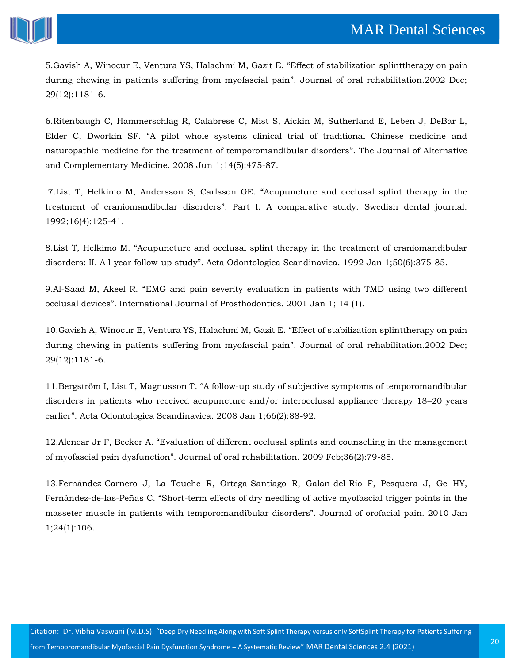

5[.Gavish A, Winocur E, Ventura YS, Halachmi M, Gazit E.](https://www.google.com/search?sxsrf=ALeKk00G2BSxtGuxDNWLZW1oDP8T7j4lEA%3A1615364552538&ei=yIFIYMehIMv8rQGB96-wDw&q=Effect+of+stabilization+splinttherapy+on+pain+during+chewing+in+patients+suffering+from+myofascial+pain&oq=Effect+of+stabilization+splinttherapy+on+pain+during+chewing+in+patients+suffering+from+myofascial+pain&gs_lcp=Cgdnd3Mtd2l6EAMyBwgjEOoCECcyBwgjEOoCECcyBwgjEOoCECcyBwgjEOoCECcyBwgjEOoCECcyBwgjEOoCECcyBwgjEOoCECcyBwgjEOoCECcyBwgjEOoCECcyBwgjEOoCECdQ9G9Y9G9gh3JoAXAAeACAAQCIAQCSAQCYAQGgAQGgAQKqAQdnd3Mtd2l6sAEKwAEB&sclient=gws-wiz&ved=0ahUKEwjHpdjypaXvAhVLfisKHYH7C_YQ4dUDCA0&uact=5) "Effect of stabilization splinttherapy on pain [during chewing in patients suffering from myofascial pain](https://www.google.com/search?sxsrf=ALeKk00G2BSxtGuxDNWLZW1oDP8T7j4lEA%3A1615364552538&ei=yIFIYMehIMv8rQGB96-wDw&q=Effect+of+stabilization+splinttherapy+on+pain+during+chewing+in+patients+suffering+from+myofascial+pain&oq=Effect+of+stabilization+splinttherapy+on+pain+during+chewing+in+patients+suffering+from+myofascial+pain&gs_lcp=Cgdnd3Mtd2l6EAMyBwgjEOoCECcyBwgjEOoCECcyBwgjEOoCECcyBwgjEOoCECcyBwgjEOoCECcyBwgjEOoCECcyBwgjEOoCECcyBwgjEOoCECcyBwgjEOoCECcyBwgjEOoCECdQ9G9Y9G9gh3JoAXAAeACAAQCIAQCSAQCYAQGgAQGgAQKqAQdnd3Mtd2l6sAEKwAEB&sclient=gws-wiz&ved=0ahUKEwjHpdjypaXvAhVLfisKHYH7C_YQ4dUDCA0&uact=5)". Journal of oral rehabilitation.2002 Dec; [29\(12\):1181-6.](https://www.google.com/search?sxsrf=ALeKk00G2BSxtGuxDNWLZW1oDP8T7j4lEA%3A1615364552538&ei=yIFIYMehIMv8rQGB96-wDw&q=Effect+of+stabilization+splinttherapy+on+pain+during+chewing+in+patients+suffering+from+myofascial+pain&oq=Effect+of+stabilization+splinttherapy+on+pain+during+chewing+in+patients+suffering+from+myofascial+pain&gs_lcp=Cgdnd3Mtd2l6EAMyBwgjEOoCECcyBwgjEOoCECcyBwgjEOoCECcyBwgjEOoCECcyBwgjEOoCECcyBwgjEOoCECcyBwgjEOoCECcyBwgjEOoCECcyBwgjEOoCECcyBwgjEOoCECdQ9G9Y9G9gh3JoAXAAeACAAQCIAQCSAQCYAQGgAQGgAQKqAQdnd3Mtd2l6sAEKwAEB&sclient=gws-wiz&ved=0ahUKEwjHpdjypaXvAhVLfisKHYH7C_YQ4dUDCA0&uact=5)

6[.Ritenbaugh C, Hammerschlag R, Calabrese C, Mist S, Aickin M, Sutherland E, Leben J, DeBar L,](https://www.google.com/search?sxsrf=ALeKk02DuDPF-R9BepmmGM9cP9J8WDoKyg%3A1615364617295&ei=CYJIYNPSEYqz9QOT652ABQ&q=A+pilot+whole+systems+clinical+trial+of+traditional+Chinese+medicine+and+naturopathic+medicine+for+the+treatment+of+temporomandibular+disorders&oq=A+pilot+whole+systems+clinical+trial+of+traditional+Chinese+medicine+and+naturopathic+medicine+for+the+treatment+of+temporomandibular+disorders&gs_lcp=Cgdnd3Mtd2l6EAMyBwgjEOoCECcyBwgjEOoCECcyBwgjEOoCECcyBwgjEOoCECcyBwgjEOoCECcyBwgjEOoCECcyBwgjEOoCECcyBwgjEOoCECcyBwgjEOoCECcyBwgjEOoCECdQueQBWLnkAWCY5gFoAXACeACAAQCIAQCSAQCYAQGgAQGgAQKqAQdnd3Mtd2l6sAEKwAEB&sclient=gws-wiz&ved=0ahUKEwiT-8iRpqXvAhWKWX0KHZN1B1AQ4dUDCA0&uact=5)  Elder C, Dworkin SF. "[A pilot whole systems clinical trial of traditional Chinese medicine and](https://www.google.com/search?sxsrf=ALeKk02DuDPF-R9BepmmGM9cP9J8WDoKyg%3A1615364617295&ei=CYJIYNPSEYqz9QOT652ABQ&q=A+pilot+whole+systems+clinical+trial+of+traditional+Chinese+medicine+and+naturopathic+medicine+for+the+treatment+of+temporomandibular+disorders&oq=A+pilot+whole+systems+clinical+trial+of+traditional+Chinese+medicine+and+naturopathic+medicine+for+the+treatment+of+temporomandibular+disorders&gs_lcp=Cgdnd3Mtd2l6EAMyBwgjEOoCECcyBwgjEOoCECcyBwgjEOoCECcyBwgjEOoCECcyBwgjEOoCECcyBwgjEOoCECcyBwgjEOoCECcyBwgjEOoCECcyBwgjEOoCECcyBwgjEOoCECdQueQBWLnkAWCY5gFoAXACeACAAQCIAQCSAQCYAQGgAQGgAQKqAQdnd3Mtd2l6sAEKwAEB&sclient=gws-wiz&ved=0ahUKEwiT-8iRpqXvAhWKWX0KHZN1B1AQ4dUDCA0&uact=5)  [naturopathic medicine for the treatment of temporomandibular disorders](https://www.google.com/search?sxsrf=ALeKk02DuDPF-R9BepmmGM9cP9J8WDoKyg%3A1615364617295&ei=CYJIYNPSEYqz9QOT652ABQ&q=A+pilot+whole+systems+clinical+trial+of+traditional+Chinese+medicine+and+naturopathic+medicine+for+the+treatment+of+temporomandibular+disorders&oq=A+pilot+whole+systems+clinical+trial+of+traditional+Chinese+medicine+and+naturopathic+medicine+for+the+treatment+of+temporomandibular+disorders&gs_lcp=Cgdnd3Mtd2l6EAMyBwgjEOoCECcyBwgjEOoCECcyBwgjEOoCECcyBwgjEOoCECcyBwgjEOoCECcyBwgjEOoCECcyBwgjEOoCECcyBwgjEOoCECcyBwgjEOoCECcyBwgjEOoCECdQueQBWLnkAWCY5gFoAXACeACAAQCIAQCSAQCYAQGgAQGgAQKqAQdnd3Mtd2l6sAEKwAEB&sclient=gws-wiz&ved=0ahUKEwiT-8iRpqXvAhWKWX0KHZN1B1AQ4dUDCA0&uact=5)". The Journal of Alternative [and Complementary Medicine. 2008 Jun](https://www.google.com/search?sxsrf=ALeKk02DuDPF-R9BepmmGM9cP9J8WDoKyg%3A1615364617295&ei=CYJIYNPSEYqz9QOT652ABQ&q=A+pilot+whole+systems+clinical+trial+of+traditional+Chinese+medicine+and+naturopathic+medicine+for+the+treatment+of+temporomandibular+disorders&oq=A+pilot+whole+systems+clinical+trial+of+traditional+Chinese+medicine+and+naturopathic+medicine+for+the+treatment+of+temporomandibular+disorders&gs_lcp=Cgdnd3Mtd2l6EAMyBwgjEOoCECcyBwgjEOoCECcyBwgjEOoCECcyBwgjEOoCECcyBwgjEOoCECcyBwgjEOoCECcyBwgjEOoCECcyBwgjEOoCECcyBwgjEOoCECcyBwgjEOoCECdQueQBWLnkAWCY5gFoAXACeACAAQCIAQCSAQCYAQGgAQGgAQKqAQdnd3Mtd2l6sAEKwAEB&sclient=gws-wiz&ved=0ahUKEwiT-8iRpqXvAhWKWX0KHZN1B1AQ4dUDCA0&uact=5) 1;14(5):475-87.

7.List T, Helkimo M, Andersson S, Carlsson GE. "[Acupuncture and occlusal splint therapy in the](https://www.google.com/search?sxsrf=ALeKk02xlCNH3pDdZ6D0LNwLgbSVBPqwVA%3A1615364647754&ei=J4JIYPHQLcnd9QPMnq2gAg&q=Acupuncture+and+occlusal+splint+therapy+in+the+treatment+of+craniomandibular+disorders&oq=Acupuncture+and+occlusal+splint+therapy+in+the+treatment+of+craniomandibular+disorders&gs_lcp=Cgdnd3Mtd2l6EAM6BwgjEOoCECdQ5WlY5Wlg5GtoAXAAeACAAVaIAVaSAQExmAEBoAEBoAECqgEHZ3dzLXdperABCsABAQ&sclient=gws-wiz&ved=0ahUKEwixgIygpqXvAhXJbn0KHUxPCyQQ4dUDCA0&uact=5)  treatment of craniomandibular disorders"[. Part I. A comparative study. Swedish dental journal.](https://www.google.com/search?sxsrf=ALeKk02xlCNH3pDdZ6D0LNwLgbSVBPqwVA%3A1615364647754&ei=J4JIYPHQLcnd9QPMnq2gAg&q=Acupuncture+and+occlusal+splint+therapy+in+the+treatment+of+craniomandibular+disorders&oq=Acupuncture+and+occlusal+splint+therapy+in+the+treatment+of+craniomandibular+disorders&gs_lcp=Cgdnd3Mtd2l6EAM6BwgjEOoCECdQ5WlY5Wlg5GtoAXAAeACAAVaIAVaSAQExmAEBoAEBoAECqgEHZ3dzLXdperABCsABAQ&sclient=gws-wiz&ved=0ahUKEwixgIygpqXvAhXJbn0KHUxPCyQQ4dUDCA0&uact=5)  [1992;16\(4\):125-41.](https://www.google.com/search?sxsrf=ALeKk02xlCNH3pDdZ6D0LNwLgbSVBPqwVA%3A1615364647754&ei=J4JIYPHQLcnd9QPMnq2gAg&q=Acupuncture+and+occlusal+splint+therapy+in+the+treatment+of+craniomandibular+disorders&oq=Acupuncture+and+occlusal+splint+therapy+in+the+treatment+of+craniomandibular+disorders&gs_lcp=Cgdnd3Mtd2l6EAM6BwgjEOoCECdQ5WlY5Wlg5GtoAXAAeACAAVaIAVaSAQExmAEBoAEBoAECqgEHZ3dzLXdperABCsABAQ&sclient=gws-wiz&ved=0ahUKEwixgIygpqXvAhXJbn0KHUxPCyQQ4dUDCA0&uact=5)

8.List T, Helkimo M. "[Acupuncture and occlusal splint therapy in the treatment of craniomandibular](https://www.google.com/search?sxsrf=ALeKk03YKog7dbCz1FBVNcAB0AvGdYmrCw%3A1615364662834&ei=NoJIYMC-Mof69QPdlaKYAg&q=Acupuncture+and+occlusal+splint+therapy+in+the+treatment+of+craniomandibular+disorders%3A+II.+A+l-year+follow-up+study&oq=Acupuncture+and+occlusal+splint+therapy+in+the+treatment+of+craniomandibular+disorders%3A+II.+A+l-year+follow-up+study&gs_lcp=Cgdnd3Mtd2l6EAMyBwgjEOoCECcyBwgjEOoCECcyBwgjEOoCECcyBwgjEOoCECcyBwgjEOoCECcyBwgjEOoCECcyBwgjEOoCECcyBwgjEOoCECcyBwgjEOoCECcyBwgjEOoCECdQpt8FWKbfBWCs4QVoAXAAeACAAcsBiAHLAZIBAzItMZgBAKABAaABAqoBB2d3cy13aXqwAQrAAQE&sclient=gws-wiz&ved=0ahUKEwjAsaSnpqXvAhUHfX0KHd2KCCMQ4dUDCA0&uact=5)  [disorders: II. A l-year follow-up study](https://www.google.com/search?sxsrf=ALeKk03YKog7dbCz1FBVNcAB0AvGdYmrCw%3A1615364662834&ei=NoJIYMC-Mof69QPdlaKYAg&q=Acupuncture+and+occlusal+splint+therapy+in+the+treatment+of+craniomandibular+disorders%3A+II.+A+l-year+follow-up+study&oq=Acupuncture+and+occlusal+splint+therapy+in+the+treatment+of+craniomandibular+disorders%3A+II.+A+l-year+follow-up+study&gs_lcp=Cgdnd3Mtd2l6EAMyBwgjEOoCECcyBwgjEOoCECcyBwgjEOoCECcyBwgjEOoCECcyBwgjEOoCECcyBwgjEOoCECcyBwgjEOoCECcyBwgjEOoCECcyBwgjEOoCECcyBwgjEOoCECdQpt8FWKbfBWCs4QVoAXAAeACAAcsBiAHLAZIBAzItMZgBAKABAaABAqoBB2d3cy13aXqwAQrAAQE&sclient=gws-wiz&ved=0ahUKEwjAsaSnpqXvAhUHfX0KHd2KCCMQ4dUDCA0&uact=5)". Acta Odontologica Scandinavica. 1992 Jan 1;50(6):375-85.

9.Al-Saad M, Akeel R. "[EMG and pain severity evaluation in patients with TMD using two different](https://www.google.com/search?sxsrf=ALeKk03jFlIC3sRCasOu9verjHeRJ8V0gg%3A1615364758190&ei=loJIYLaYC8P1rQHex63YCA&q=EMG+and+pain+severity+evaluation+in+patients+with+TMD+using+two+different+occlusal+devices&oq=EMG+and+pain+severity+evaluation+in+patients+with+TMD+using+two+different+occlusal+devices&gs_lcp=Cgdnd3Mtd2l6EAM6BwgjEOoCECdQxocBWMaHAWDOiQFoAXAAeACAAX6IAX6SAQMwLjGYAQGgAQGgAQKqAQdnd3Mtd2l6sAEKwAEB&sclient=gws-wiz&ved=0ahUKEwi2u-DUpqXvAhXDeisKHd5jC4sQ4dUDCA0&uact=5)  occlusal devices"[. International Journal of Prosthodontics. 2001 Jan 1; 14 \(1\).](https://www.google.com/search?sxsrf=ALeKk03jFlIC3sRCasOu9verjHeRJ8V0gg%3A1615364758190&ei=loJIYLaYC8P1rQHex63YCA&q=EMG+and+pain+severity+evaluation+in+patients+with+TMD+using+two+different+occlusal+devices&oq=EMG+and+pain+severity+evaluation+in+patients+with+TMD+using+two+different+occlusal+devices&gs_lcp=Cgdnd3Mtd2l6EAM6BwgjEOoCECdQxocBWMaHAWDOiQFoAXAAeACAAX6IAX6SAQMwLjGYAQGgAQGgAQKqAQdnd3Mtd2l6sAEKwAEB&sclient=gws-wiz&ved=0ahUKEwi2u-DUpqXvAhXDeisKHd5jC4sQ4dUDCA0&uact=5)

10[.Gavish A, Winocur E, Ventura YS, Halachmi M, Gazit E.](https://www.google.com/search?sxsrf=ALeKk02BDVr_fREC5oEHoCgomNdLhvOs1w%3A1615364776989&ei=qIJIYKvWO4SR9QOkubzIAg&q=Effect+of+stabilization+splinttherapy+on+pain+during+chewing+in+patients+suffering+from+myofascial+pain&oq=Effect+of+stabilization+splinttherapy+on+pain+during+chewing+in+patients+suffering+from+myofascial+pain&gs_lcp=Cgdnd3Mtd2l6EAMyBwgjEOoCECcyBwgjEOoCECcyBwgjEOoCECcyBwgjEOoCECcyBwgjEOoCECcyBwgjEOoCECcyBwgjEOoCECcyBwgjEOoCECcyBwgjEOoCECcyBwgjEOoCECdQ2Y0BWNmNAWDtjwFoAXAAeACAAYQBiAGEAZIBAzAuMZgBAKABAaABAqoBB2d3cy13aXqwAQrAAQE&sclient=gws-wiz&ved=0ahUKEwirytvdpqXvAhWESH0KHaQcDykQ4dUDCA0&uact=5) "Effect of stabilization splinttherapy on pain [during chewing in patients suffering from myofascial pain](https://www.google.com/search?sxsrf=ALeKk02BDVr_fREC5oEHoCgomNdLhvOs1w%3A1615364776989&ei=qIJIYKvWO4SR9QOkubzIAg&q=Effect+of+stabilization+splinttherapy+on+pain+during+chewing+in+patients+suffering+from+myofascial+pain&oq=Effect+of+stabilization+splinttherapy+on+pain+during+chewing+in+patients+suffering+from+myofascial+pain&gs_lcp=Cgdnd3Mtd2l6EAMyBwgjEOoCECcyBwgjEOoCECcyBwgjEOoCECcyBwgjEOoCECcyBwgjEOoCECcyBwgjEOoCECcyBwgjEOoCECcyBwgjEOoCECcyBwgjEOoCECcyBwgjEOoCECdQ2Y0BWNmNAWDtjwFoAXAAeACAAYQBiAGEAZIBAzAuMZgBAKABAaABAqoBB2d3cy13aXqwAQrAAQE&sclient=gws-wiz&ved=0ahUKEwirytvdpqXvAhWESH0KHaQcDykQ4dUDCA0&uact=5)". Journal of oral rehabilitation.2002 Dec; [29\(12\):1181-6.](https://www.google.com/search?sxsrf=ALeKk02BDVr_fREC5oEHoCgomNdLhvOs1w%3A1615364776989&ei=qIJIYKvWO4SR9QOkubzIAg&q=Effect+of+stabilization+splinttherapy+on+pain+during+chewing+in+patients+suffering+from+myofascial+pain&oq=Effect+of+stabilization+splinttherapy+on+pain+during+chewing+in+patients+suffering+from+myofascial+pain&gs_lcp=Cgdnd3Mtd2l6EAMyBwgjEOoCECcyBwgjEOoCECcyBwgjEOoCECcyBwgjEOoCECcyBwgjEOoCECcyBwgjEOoCECcyBwgjEOoCECcyBwgjEOoCECcyBwgjEOoCECcyBwgjEOoCECdQ2Y0BWNmNAWDtjwFoAXAAeACAAYQBiAGEAZIBAzAuMZgBAKABAaABAqoBB2d3cy13aXqwAQrAAQE&sclient=gws-wiz&ved=0ahUKEwirytvdpqXvAhWESH0KHaQcDykQ4dUDCA0&uact=5)

11.Bergström I, List T, Magnusson T. "[A follow-up study of subjective symptoms of temporomandibular](https://www.google.com/search?sxsrf=ALeKk02DuDPF-R9BepmmGM9cP9J8WDoKyg%3A1615364617295&ei=CYJIYNPSEYqz9QOT652ABQ&q=A+follow-up+study+of+subjective+symptoms+of+temporomandibular+disorders+in+patients+who+received+acupuncture+and%2For+interocclusal+appliance+therapy+18%E2%80%9320+years+earlier&oq=A+follow-up+study+of+subjective+symptoms+of+temporomandibular+disorders+in+patients+who+received+acupuncture+and%2For+interocclusal+appliance+therapy+18%E2%80%9320+years+earlier&gs_lcp=Cgdnd3Mtd2l6EAMyBwgjEOoCECcyBwgjEOoCECcyBwgjEOoCECcyBwgjEOoCECcyBwgjEOoCECcyBwgjEOoCECcyBwgjEOoCECcyBwgjEOoCECcyBwgjEOoCECcyBwgjEOoCECdQqKEBWKihAWCnowFoAXACeACAAQCIAQCSAQCYAQGgAQGgAQKqAQdnd3Mtd2l6sAEKwAEB&sclient=gws-wiz&ved=0ahUKEwiT-8iRpqXvAhWKWX0KHZN1B1AQ4dUDCA0&uact=5)  [disorders in patients who received acupuncture and/or interocclusal appliance therapy 18](https://www.google.com/search?sxsrf=ALeKk02DuDPF-R9BepmmGM9cP9J8WDoKyg%3A1615364617295&ei=CYJIYNPSEYqz9QOT652ABQ&q=A+follow-up+study+of+subjective+symptoms+of+temporomandibular+disorders+in+patients+who+received+acupuncture+and%2For+interocclusal+appliance+therapy+18%E2%80%9320+years+earlier&oq=A+follow-up+study+of+subjective+symptoms+of+temporomandibular+disorders+in+patients+who+received+acupuncture+and%2For+interocclusal+appliance+therapy+18%E2%80%9320+years+earlier&gs_lcp=Cgdnd3Mtd2l6EAMyBwgjEOoCECcyBwgjEOoCECcyBwgjEOoCECcyBwgjEOoCECcyBwgjEOoCECcyBwgjEOoCECcyBwgjEOoCECcyBwgjEOoCECcyBwgjEOoCECcyBwgjEOoCECdQqKEBWKihAWCnowFoAXACeACAAQCIAQCSAQCYAQGgAQGgAQKqAQdnd3Mtd2l6sAEKwAEB&sclient=gws-wiz&ved=0ahUKEwiT-8iRpqXvAhWKWX0KHZN1B1AQ4dUDCA0&uact=5)–20 years earlier"[. Acta Odontologica Scandinavica. 2008 Jan 1;66\(2\):88-92.](https://www.google.com/search?sxsrf=ALeKk02DuDPF-R9BepmmGM9cP9J8WDoKyg%3A1615364617295&ei=CYJIYNPSEYqz9QOT652ABQ&q=A+follow-up+study+of+subjective+symptoms+of+temporomandibular+disorders+in+patients+who+received+acupuncture+and%2For+interocclusal+appliance+therapy+18%E2%80%9320+years+earlier&oq=A+follow-up+study+of+subjective+symptoms+of+temporomandibular+disorders+in+patients+who+received+acupuncture+and%2For+interocclusal+appliance+therapy+18%E2%80%9320+years+earlier&gs_lcp=Cgdnd3Mtd2l6EAMyBwgjEOoCECcyBwgjEOoCECcyBwgjEOoCECcyBwgjEOoCECcyBwgjEOoCECcyBwgjEOoCECcyBwgjEOoCECcyBwgjEOoCECcyBwgjEOoCECcyBwgjEOoCECdQqKEBWKihAWCnowFoAXACeACAAQCIAQCSAQCYAQGgAQGgAQKqAQdnd3Mtd2l6sAEKwAEB&sclient=gws-wiz&ved=0ahUKEwiT-8iRpqXvAhWKWX0KHZN1B1AQ4dUDCA0&uact=5)

12.Alencar Jr F, Becker A. "[Evaluation of different occlusal splints and counselling in the management](https://www.google.com/search?sxsrf=ALeKk02_UvLKJ1cN2sR_DQaDbVJ4slljIQ%3A1615364817879&ei=0YJIYJj_NNOsrQHMs7iQBw&q=Evaluation+of+different+occlusal+splints+and+counselling+in+the+management+of+myofascial+pain+dysfunction&oq=Evaluation+of+different+occlusal+splints+and+counselling+in+the+management+of+myofascial+pain+dysfunction&gs_lcp=Cgdnd3Mtd2l6EAMyBwgjEOoCECcyBwgjEOoCECcyBwgjEOoCECcyBwgjEOoCECcyBwgjEOoCECcyBwgjEOoCECcyBwgjEOoCECcyBwgjEOoCECcyBwgjEOoCECcyBwgjEOoCECdQ6m5Y6m5ggnFoAXAAeACAAQCIAQCSAQCYAQGgAQGgAQKqAQdnd3Mtd2l6sAEKwAEB&sclient=gws-wiz&ved=0ahUKEwjYq5vxpqXvAhVTVisKHcwZDnIQ4dUDCA0&uact=5)  of myofascial pain dysfunction"[. Journal of oral rehabilitation. 2009 Feb;36\(2\):79-85.](https://www.google.com/search?sxsrf=ALeKk02_UvLKJ1cN2sR_DQaDbVJ4slljIQ%3A1615364817879&ei=0YJIYJj_NNOsrQHMs7iQBw&q=Evaluation+of+different+occlusal+splints+and+counselling+in+the+management+of+myofascial+pain+dysfunction&oq=Evaluation+of+different+occlusal+splints+and+counselling+in+the+management+of+myofascial+pain+dysfunction&gs_lcp=Cgdnd3Mtd2l6EAMyBwgjEOoCECcyBwgjEOoCECcyBwgjEOoCECcyBwgjEOoCECcyBwgjEOoCECcyBwgjEOoCECcyBwgjEOoCECcyBwgjEOoCECcyBwgjEOoCECcyBwgjEOoCECdQ6m5Y6m5ggnFoAXAAeACAAQCIAQCSAQCYAQGgAQGgAQKqAQdnd3Mtd2l6sAEKwAEB&sclient=gws-wiz&ved=0ahUKEwjYq5vxpqXvAhVTVisKHcwZDnIQ4dUDCA0&uact=5)

13[.Fernández-Carnero J, La Touche R, Ortega-Santiago R, Galan-del-Rio F, Pesquera J, Ge HY,](https://www.google.com/search?sxsrf=ALeKk03Ip72-etiqTRgcTYk_ESJLPoVyIg%3A1615364833862&ei=4YJIYISaNM2CyAOLzK-QCg&q=Short-term+effects+of+dry+needling+of+active+myofascial+trigger+points+in+the+masseter+muscle+in+patients+with+temporomandibular+disorders&oq=Short-term+effects+of+dry+needling+of+active+myofascial+trigger+points+in+the+masseter+muscle+in+patients+with+temporomandibular+disorders&gs_lcp=Cgdnd3Mtd2l6EAMyBwgjEOoCECcyBwgjEOoCECcyBwgjEOoCECcyBwgjEOoCECcyBwgjEOoCECcyBwgjEOoCECcyBwgjEOoCECcyBwgjEOoCECcyBwgjEOoCECcyBwgjEOoCECdQqZcBWKmXAWDemQFoAXAAeACAAQCIAQCSAQCYAQGgAQGgAQKqAQdnd3Mtd2l6sAEKwAEB&sclient=gws-wiz&ved=0ahUKEwjEjuv4pqXvAhVNAXIKHQvmC6IQ4dUDCA0&uact=5)  Fernández-de-las-Peñas C. "[Short-term effects of dry needling of active myofascial trigger points in the](https://www.google.com/search?sxsrf=ALeKk03Ip72-etiqTRgcTYk_ESJLPoVyIg%3A1615364833862&ei=4YJIYISaNM2CyAOLzK-QCg&q=Short-term+effects+of+dry+needling+of+active+myofascial+trigger+points+in+the+masseter+muscle+in+patients+with+temporomandibular+disorders&oq=Short-term+effects+of+dry+needling+of+active+myofascial+trigger+points+in+the+masseter+muscle+in+patients+with+temporomandibular+disorders&gs_lcp=Cgdnd3Mtd2l6EAMyBwgjEOoCECcyBwgjEOoCECcyBwgjEOoCECcyBwgjEOoCECcyBwgjEOoCECcyBwgjEOoCECcyBwgjEOoCECcyBwgjEOoCECcyBwgjEOoCECcyBwgjEOoCECdQqZcBWKmXAWDemQFoAXAAeACAAQCIAQCSAQCYAQGgAQGgAQKqAQdnd3Mtd2l6sAEKwAEB&sclient=gws-wiz&ved=0ahUKEwjEjuv4pqXvAhVNAXIKHQvmC6IQ4dUDCA0&uact=5)  [masseter muscle in patients with temporomandibular disorders](https://www.google.com/search?sxsrf=ALeKk03Ip72-etiqTRgcTYk_ESJLPoVyIg%3A1615364833862&ei=4YJIYISaNM2CyAOLzK-QCg&q=Short-term+effects+of+dry+needling+of+active+myofascial+trigger+points+in+the+masseter+muscle+in+patients+with+temporomandibular+disorders&oq=Short-term+effects+of+dry+needling+of+active+myofascial+trigger+points+in+the+masseter+muscle+in+patients+with+temporomandibular+disorders&gs_lcp=Cgdnd3Mtd2l6EAMyBwgjEOoCECcyBwgjEOoCECcyBwgjEOoCECcyBwgjEOoCECcyBwgjEOoCECcyBwgjEOoCECcyBwgjEOoCECcyBwgjEOoCECcyBwgjEOoCECcyBwgjEOoCECdQqZcBWKmXAWDemQFoAXAAeACAAQCIAQCSAQCYAQGgAQGgAQKqAQdnd3Mtd2l6sAEKwAEB&sclient=gws-wiz&ved=0ahUKEwjEjuv4pqXvAhVNAXIKHQvmC6IQ4dUDCA0&uact=5)". Journal of orofacial pain. 2010 Jan [1;24\(1\):106.](https://www.google.com/search?sxsrf=ALeKk03Ip72-etiqTRgcTYk_ESJLPoVyIg%3A1615364833862&ei=4YJIYISaNM2CyAOLzK-QCg&q=Short-term+effects+of+dry+needling+of+active+myofascial+trigger+points+in+the+masseter+muscle+in+patients+with+temporomandibular+disorders&oq=Short-term+effects+of+dry+needling+of+active+myofascial+trigger+points+in+the+masseter+muscle+in+patients+with+temporomandibular+disorders&gs_lcp=Cgdnd3Mtd2l6EAMyBwgjEOoCECcyBwgjEOoCECcyBwgjEOoCECcyBwgjEOoCECcyBwgjEOoCECcyBwgjEOoCECcyBwgjEOoCECcyBwgjEOoCECcyBwgjEOoCECcyBwgjEOoCECdQqZcBWKmXAWDemQFoAXAAeACAAQCIAQCSAQCYAQGgAQGgAQKqAQdnd3Mtd2l6sAEKwAEB&sclient=gws-wiz&ved=0ahUKEwjEjuv4pqXvAhVNAXIKHQvmC6IQ4dUDCA0&uact=5)